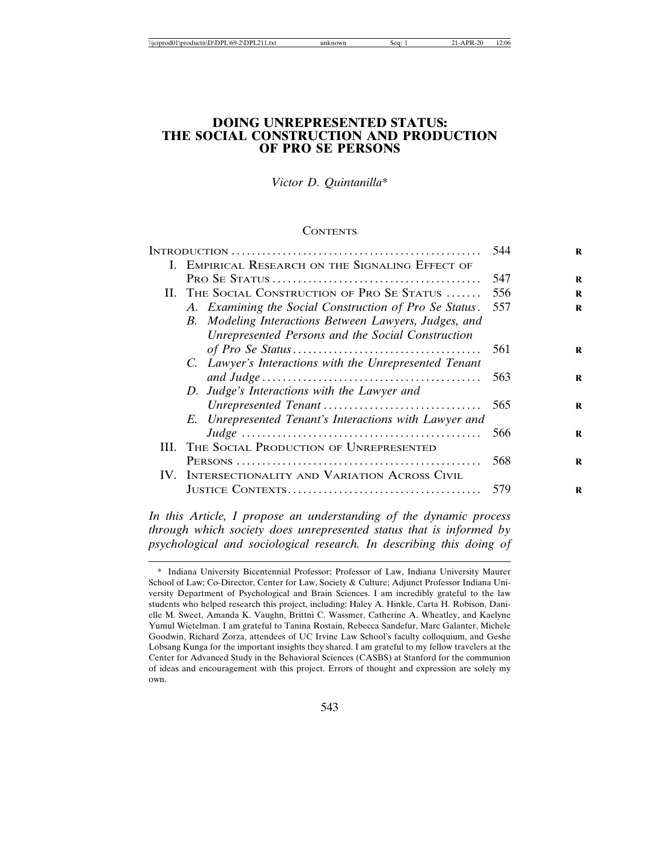# **DOING UNREPRESENTED STATUS: THE SOCIAL CONSTRUCTION AND PRODUCTION OF PRO SE PERSONS**

*Victor D. Quintanilla*\*

#### **CONTENTS**

|  |  |                                                        | 544 |
|--|--|--------------------------------------------------------|-----|
|  |  | I. EMPIRICAL RESEARCH ON THE SIGNALING EFFECT OF       |     |
|  |  |                                                        | 547 |
|  |  | II. THE SOCIAL CONSTRUCTION OF PRO SE STATUS           | 556 |
|  |  | A. Examining the Social Construction of Pro Se Status. | 557 |
|  |  | B. Modeling Interactions Between Lawyers, Judges, and  |     |
|  |  | Unrepresented Persons and the Social Construction      |     |
|  |  |                                                        | 561 |
|  |  | C. Lawyer's Interactions with the Unrepresented Tenant |     |
|  |  |                                                        | 563 |
|  |  | D. Judge's Interactions with the Lawyer and            |     |
|  |  | Unrepresented Tenant                                   | 565 |
|  |  | E. Unrepresented Tenant's Interactions with Lawyer and |     |
|  |  |                                                        | 566 |
|  |  | III. THE SOCIAL PRODUCTION OF UNREPRESENTED            |     |
|  |  |                                                        | 568 |
|  |  | IV. INTERSECTIONALITY AND VARIATION ACROSS CIVIL       |     |
|  |  |                                                        | 579 |
|  |  |                                                        |     |

*In this Article, I propose an understanding of the dynamic process through which society does unrepresented status that is informed by psychological and sociological research. In describing this doing of*

<sup>\*</sup> Indiana University Bicentennial Professor; Professor of Law, Indiana University Maurer School of Law; Co-Director, Center for Law, Society & Culture; Adjunct Professor Indiana University Department of Psychological and Brain Sciences. I am incredibly grateful to the law students who helped research this project, including: Haley A. Hinkle, Carta H. Robison, Danielle M. Sweet, Amanda K. Vaughn, Brittni C. Wassmer, Catherine A. Wheatley, and Kaelyne Yumul Wietelman. I am grateful to Tanina Rostain, Rebecca Sandefur, Marc Galanter, Michele Goodwin, Richard Zorza, attendees of UC Irvine Law School's faculty colloquium, and Geshe Lobsang Kunga for the important insights they shared. I am grateful to my fellow travelers at the Center for Advanced Study in the Behavioral Sciences (CASBS) at Stanford for the communion of ideas and encouragement with this project. Errors of thought and expression are solely my own.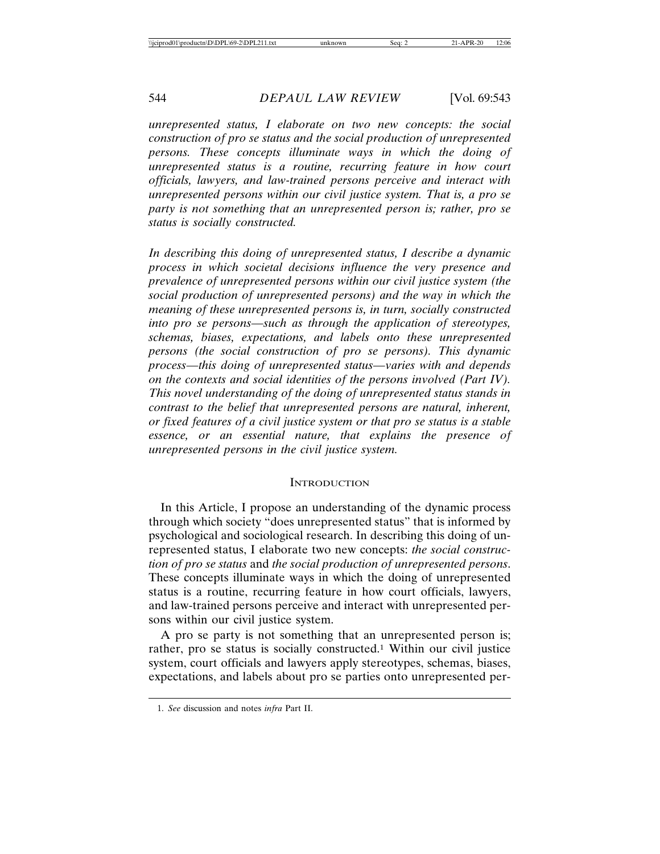*unrepresented status, I elaborate on two new concepts: the social construction of pro se status and the social production of unrepresented persons. These concepts illuminate ways in which the doing of unrepresented status is a routine, recurring feature in how court officials, lawyers, and law-trained persons perceive and interact with unrepresented persons within our civil justice system. That is, a pro se party is not something that an unrepresented person is; rather, pro se status is socially constructed.*

*In describing this doing of unrepresented status, I describe a dynamic process in which societal decisions influence the very presence and prevalence of unrepresented persons within our civil justice system (the social production of unrepresented persons) and the way in which the meaning of these unrepresented persons is, in turn, socially constructed into pro se persons—such as through the application of stereotypes, schemas, biases, expectations, and labels onto these unrepresented persons (the social construction of pro se persons). This dynamic process—this doing of unrepresented status—varies with and depends on the contexts and social identities of the persons involved (Part IV). This novel understanding of the doing of unrepresented status stands in contrast to the belief that unrepresented persons are natural, inherent, or fixed features of a civil justice system or that pro se status is a stable essence, or an essential nature, that explains the presence of unrepresented persons in the civil justice system.*

#### **INTRODUCTION**

In this Article, I propose an understanding of the dynamic process through which society "does unrepresented status" that is informed by psychological and sociological research. In describing this doing of unrepresented status, I elaborate two new concepts: *the social construction of pro se status* and *the social production of unrepresented persons*. These concepts illuminate ways in which the doing of unrepresented status is a routine, recurring feature in how court officials, lawyers, and law-trained persons perceive and interact with unrepresented persons within our civil justice system.

A pro se party is not something that an unrepresented person is; rather, pro se status is socially constructed.1 Within our civil justice system, court officials and lawyers apply stereotypes, schemas, biases, expectations, and labels about pro se parties onto unrepresented per-

<sup>1.</sup> *See* discussion and notes *infra* Part II.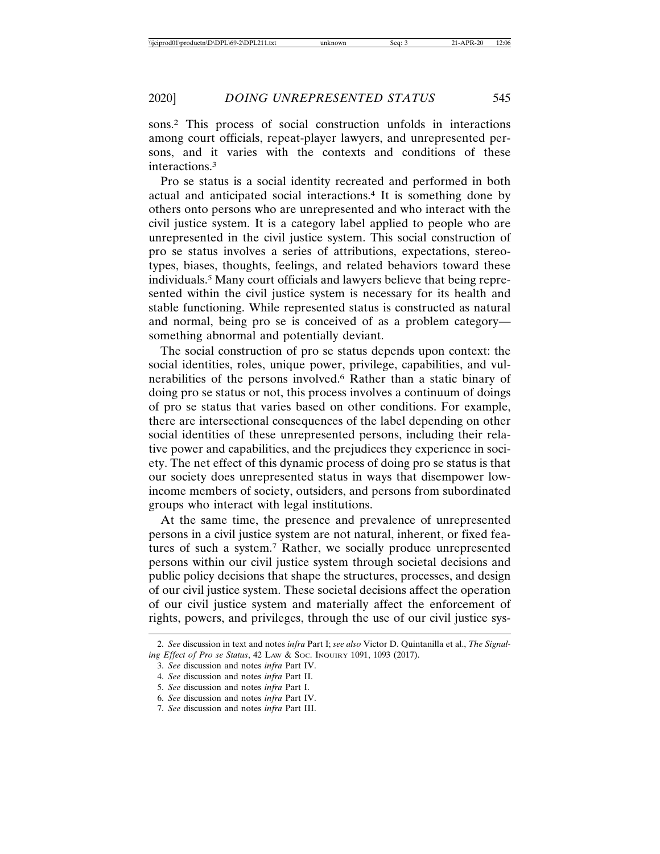sons.2 This process of social construction unfolds in interactions among court officials, repeat-player lawyers, and unrepresented persons, and it varies with the contexts and conditions of these interactions.3

Pro se status is a social identity recreated and performed in both actual and anticipated social interactions.4 It is something done by others onto persons who are unrepresented and who interact with the civil justice system. It is a category label applied to people who are unrepresented in the civil justice system. This social construction of pro se status involves a series of attributions, expectations, stereotypes, biases, thoughts, feelings, and related behaviors toward these individuals.5 Many court officials and lawyers believe that being represented within the civil justice system is necessary for its health and stable functioning. While represented status is constructed as natural and normal, being pro se is conceived of as a problem category something abnormal and potentially deviant.

The social construction of pro se status depends upon context: the social identities, roles, unique power, privilege, capabilities, and vulnerabilities of the persons involved.6 Rather than a static binary of doing pro se status or not, this process involves a continuum of doings of pro se status that varies based on other conditions. For example, there are intersectional consequences of the label depending on other social identities of these unrepresented persons, including their relative power and capabilities, and the prejudices they experience in society. The net effect of this dynamic process of doing pro se status is that our society does unrepresented status in ways that disempower lowincome members of society, outsiders, and persons from subordinated groups who interact with legal institutions.

At the same time, the presence and prevalence of unrepresented persons in a civil justice system are not natural, inherent, or fixed features of such a system.7 Rather, we socially produce unrepresented persons within our civil justice system through societal decisions and public policy decisions that shape the structures, processes, and design of our civil justice system. These societal decisions affect the operation of our civil justice system and materially affect the enforcement of rights, powers, and privileges, through the use of our civil justice sys-

<sup>2.</sup> *See* discussion in text and notes *infra* Part I; *see also* Victor D. Quintanilla et al., *The Signaling Effect of Pro se Status*, 42 LAW & SOC. INQUIRY 1091, 1093 (2017).

<sup>3.</sup> *See* discussion and notes *infra* Part IV.

<sup>4.</sup> *See* discussion and notes *infra* Part II.

<sup>5.</sup> *See* discussion and notes *infra* Part I.

<sup>6.</sup> *See* discussion and notes *infra* Part IV.

<sup>7.</sup> *See* discussion and notes *infra* Part III.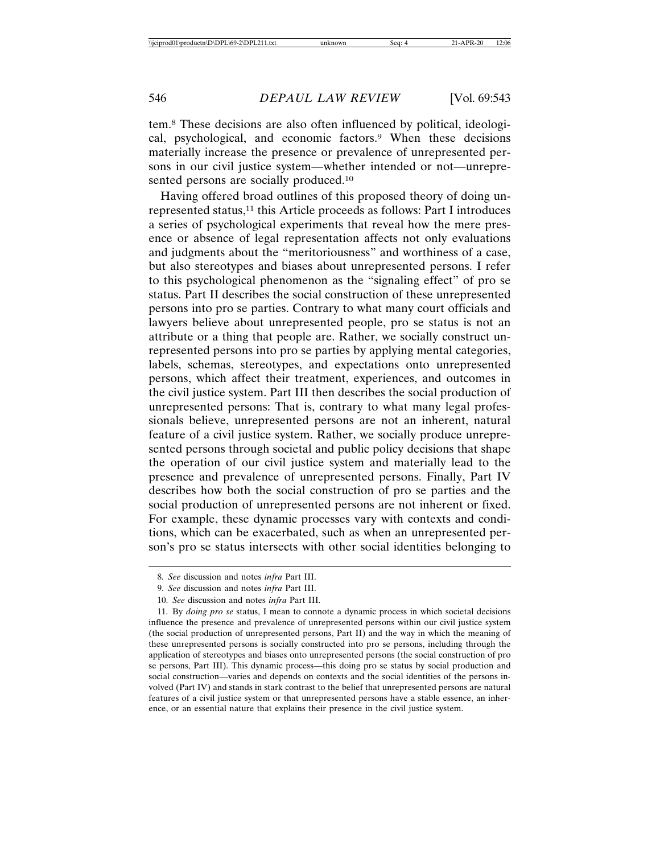tem.8 These decisions are also often influenced by political, ideological, psychological, and economic factors.9 When these decisions materially increase the presence or prevalence of unrepresented persons in our civil justice system—whether intended or not—unrepresented persons are socially produced.10

Having offered broad outlines of this proposed theory of doing unrepresented status,<sup>11</sup> this Article proceeds as follows: Part I introduces a series of psychological experiments that reveal how the mere presence or absence of legal representation affects not only evaluations and judgments about the "meritoriousness" and worthiness of a case, but also stereotypes and biases about unrepresented persons. I refer to this psychological phenomenon as the "signaling effect" of pro se status. Part II describes the social construction of these unrepresented persons into pro se parties. Contrary to what many court officials and lawyers believe about unrepresented people, pro se status is not an attribute or a thing that people are. Rather, we socially construct unrepresented persons into pro se parties by applying mental categories, labels, schemas, stereotypes, and expectations onto unrepresented persons, which affect their treatment, experiences, and outcomes in the civil justice system. Part III then describes the social production of unrepresented persons: That is, contrary to what many legal professionals believe, unrepresented persons are not an inherent, natural feature of a civil justice system. Rather, we socially produce unrepresented persons through societal and public policy decisions that shape the operation of our civil justice system and materially lead to the presence and prevalence of unrepresented persons. Finally, Part IV describes how both the social construction of pro se parties and the social production of unrepresented persons are not inherent or fixed. For example, these dynamic processes vary with contexts and conditions, which can be exacerbated, such as when an unrepresented person's pro se status intersects with other social identities belonging to

<sup>8.</sup> *See* discussion and notes *infra* Part III.

<sup>9.</sup> *See* discussion and notes *infra* Part III.

<sup>10.</sup> *See* discussion and notes *infra* Part III.

<sup>11.</sup> By *doing pro se* status, I mean to connote a dynamic process in which societal decisions influence the presence and prevalence of unrepresented persons within our civil justice system (the social production of unrepresented persons, Part II) and the way in which the meaning of these unrepresented persons is socially constructed into pro se persons, including through the application of stereotypes and biases onto unrepresented persons (the social construction of pro se persons, Part III). This dynamic process—this doing pro se status by social production and social construction—varies and depends on contexts and the social identities of the persons involved (Part IV) and stands in stark contrast to the belief that unrepresented persons are natural features of a civil justice system or that unrepresented persons have a stable essence, an inherence, or an essential nature that explains their presence in the civil justice system.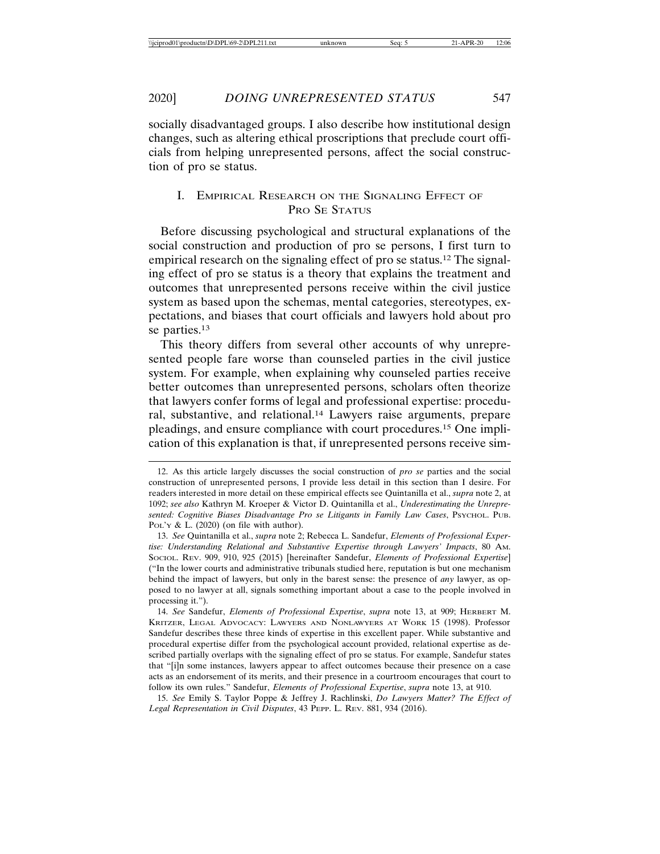socially disadvantaged groups. I also describe how institutional design changes, such as altering ethical proscriptions that preclude court officials from helping unrepresented persons, affect the social construction of pro se status.

# I. EMPIRICAL RESEARCH ON THE SIGNALING EFFECT OF PRO SE STATUS

Before discussing psychological and structural explanations of the social construction and production of pro se persons, I first turn to empirical research on the signaling effect of pro se status.<sup>12</sup> The signaling effect of pro se status is a theory that explains the treatment and outcomes that unrepresented persons receive within the civil justice system as based upon the schemas, mental categories, stereotypes, expectations, and biases that court officials and lawyers hold about pro se parties.13

This theory differs from several other accounts of why unrepresented people fare worse than counseled parties in the civil justice system. For example, when explaining why counseled parties receive better outcomes than unrepresented persons, scholars often theorize that lawyers confer forms of legal and professional expertise: procedural, substantive, and relational.14 Lawyers raise arguments, prepare pleadings, and ensure compliance with court procedures.15 One implication of this explanation is that, if unrepresented persons receive sim-

15. *See* Emily S. Taylor Poppe & Jeffrey J. Rachlinski, *Do Lawyers Matter? The Effect of Legal Representation in Civil Disputes*, 43 PEPP. L. REV. 881, 934 (2016).

<sup>12.</sup> As this article largely discusses the social construction of *pro se* parties and the social construction of unrepresented persons, I provide less detail in this section than I desire. For readers interested in more detail on these empirical effects see Quintanilla et al., *supra* note 2, at 1092; *see also* Kathryn M. Kroeper & Victor D. Quintanilla et al., *Underestimating the Unrepresented: Cognitive Biases Disadvantage Pro se Litigants in Family Law Cases*, PSYCHOL. PUB. POL'Y & L. (2020) (on file with author).

<sup>13.</sup> *See* Quintanilla et al., *supra* note 2; Rebecca L. Sandefur, *Elements of Professional Expertise: Understanding Relational and Substantive Expertise through Lawyers' Impacts*, 80 AM. SOCIOL. REV. 909, 910, 925 (2015) [hereinafter Sandefur, *Elements of Professional Expertise*] ("In the lower courts and administrative tribunals studied here, reputation is but one mechanism behind the impact of lawyers, but only in the barest sense: the presence of *any* lawyer, as opposed to no lawyer at all, signals something important about a case to the people involved in processing it.").

<sup>14.</sup> *See* Sandefur, *Elements of Professional Expertise*, *supra* note 13, at 909; HERBERT M. KRITZER, LEGAL ADVOCACY: LAWYERS AND NONLAWYERS AT WORK 15 (1998). Professor Sandefur describes these three kinds of expertise in this excellent paper. While substantive and procedural expertise differ from the psychological account provided, relational expertise as described partially overlaps with the signaling effect of pro se status. For example, Sandefur states that "[i]n some instances, lawyers appear to affect outcomes because their presence on a case acts as an endorsement of its merits, and their presence in a courtroom encourages that court to follow its own rules." Sandefur, *Elements of Professional Expertise*, *supra* note 13, at 910.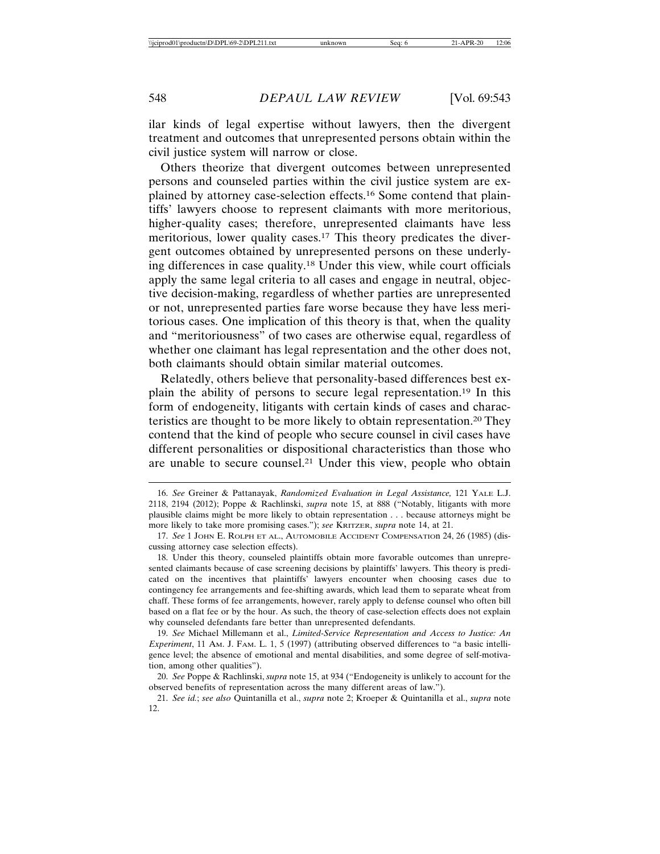ilar kinds of legal expertise without lawyers, then the divergent treatment and outcomes that unrepresented persons obtain within the civil justice system will narrow or close.

Others theorize that divergent outcomes between unrepresented persons and counseled parties within the civil justice system are explained by attorney case-selection effects.16 Some contend that plaintiffs' lawyers choose to represent claimants with more meritorious, higher-quality cases; therefore, unrepresented claimants have less meritorious, lower quality cases.17 This theory predicates the divergent outcomes obtained by unrepresented persons on these underlying differences in case quality.18 Under this view, while court officials apply the same legal criteria to all cases and engage in neutral, objective decision-making, regardless of whether parties are unrepresented or not, unrepresented parties fare worse because they have less meritorious cases. One implication of this theory is that, when the quality and "meritoriousness" of two cases are otherwise equal, regardless of whether one claimant has legal representation and the other does not, both claimants should obtain similar material outcomes.

Relatedly, others believe that personality-based differences best explain the ability of persons to secure legal representation.19 In this form of endogeneity, litigants with certain kinds of cases and characteristics are thought to be more likely to obtain representation.20 They contend that the kind of people who secure counsel in civil cases have different personalities or dispositional characteristics than those who are unable to secure counsel.21 Under this view, people who obtain

19. *See* Michael Millemann et al., *Limited-Service Representation and Access to Justice: An Experiment*, 11 AM. J. FAM. L. 1, 5 (1997) (attributing observed differences to "a basic intelligence level; the absence of emotional and mental disabilities, and some degree of self-motivation, among other qualities").

<sup>16.</sup> *See* Greiner & Pattanayak, *Randomized Evaluation in Legal Assistance,* 121 YALE L.J. 2118, 2194 (2012); Poppe & Rachlinski, *supra* note 15, at 888 ("Notably, litigants with more plausible claims might be more likely to obtain representation . . . because attorneys might be more likely to take more promising cases."); *see* KRITZER, *supra* note 14, at 21.

<sup>17.</sup> *See* 1 JOHN E. ROLPH ET AL., AUTOMOBILE ACCIDENT COMPENSATIOn 24, 26 (1985) (discussing attorney case selection effects).

<sup>18.</sup> Under this theory, counseled plaintiffs obtain more favorable outcomes than unrepresented claimants because of case screening decisions by plaintiffs' lawyers. This theory is predicated on the incentives that plaintiffs' lawyers encounter when choosing cases due to contingency fee arrangements and fee-shifting awards, which lead them to separate wheat from chaff. These forms of fee arrangements, however, rarely apply to defense counsel who often bill based on a flat fee or by the hour. As such, the theory of case-selection effects does not explain why counseled defendants fare better than unrepresented defendants.

<sup>20.</sup> *See* Poppe & Rachlinski, *supra* note 15, at 934 ("Endogeneity is unlikely to account for the observed benefits of representation across the many different areas of law.").

<sup>21.</sup> *See id.*; *see also* Quintanilla et al., *supra* note 2; Kroeper & Quintanilla et al., *supra* note 12.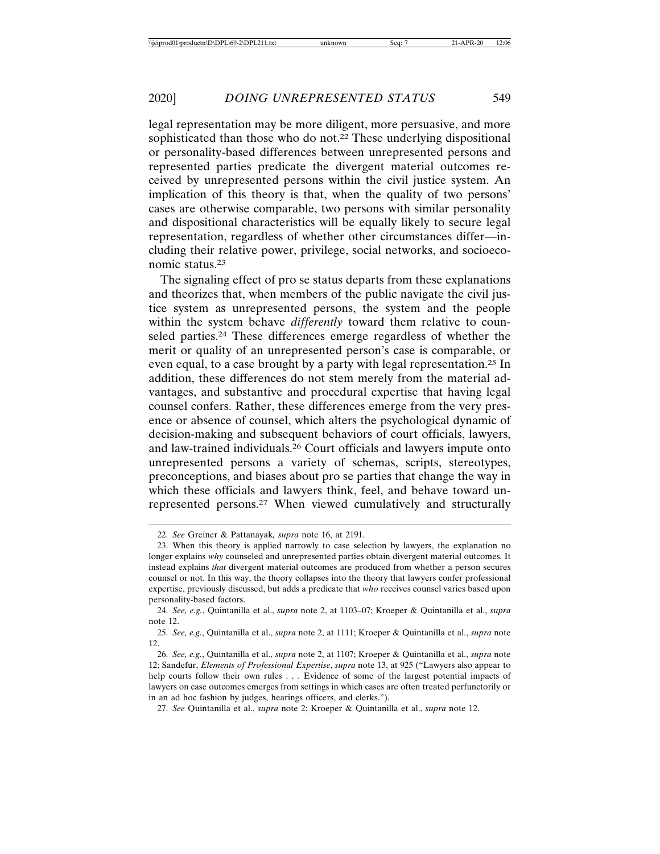legal representation may be more diligent, more persuasive, and more sophisticated than those who do not.<sup>22</sup> These underlying dispositional or personality-based differences between unrepresented persons and represented parties predicate the divergent material outcomes received by unrepresented persons within the civil justice system. An implication of this theory is that, when the quality of two persons' cases are otherwise comparable, two persons with similar personality and dispositional characteristics will be equally likely to secure legal representation, regardless of whether other circumstances differ—including their relative power, privilege, social networks, and socioeconomic status.23

The signaling effect of pro se status departs from these explanations and theorizes that, when members of the public navigate the civil justice system as unrepresented persons, the system and the people within the system behave *differently* toward them relative to counseled parties.24 These differences emerge regardless of whether the merit or quality of an unrepresented person's case is comparable, or even equal, to a case brought by a party with legal representation.25 In addition, these differences do not stem merely from the material advantages, and substantive and procedural expertise that having legal counsel confers. Rather, these differences emerge from the very presence or absence of counsel, which alters the psychological dynamic of decision-making and subsequent behaviors of court officials, lawyers, and law-trained individuals.26 Court officials and lawyers impute onto unrepresented persons a variety of schemas, scripts, stereotypes, preconceptions, and biases about pro se parties that change the way in which these officials and lawyers think, feel, and behave toward unrepresented persons.27 When viewed cumulatively and structurally

27. *See* Quintanilla et al., *supra* note 2; Kroeper & Quintanilla et al., *supra* note 12.

<sup>22.</sup> *See* Greiner & Pattanayak*, supra* note 16, at 2191.

<sup>23.</sup> When this theory is applied narrowly to case selection by lawyers, the explanation no longer explains *why* counseled and unrepresented parties obtain divergent material outcomes. It instead explains *that* divergent material outcomes are produced from whether a person secures counsel or not. In this way, the theory collapses into the theory that lawyers confer professional expertise, previously discussed, but adds a predicate that *who* receives counsel varies based upon personality-based factors.

<sup>24.</sup> *See, e.g.*, Quintanilla et al., *supra* note 2, at 1103–07; Kroeper & Quintanilla et al., *supra* note 12.

<sup>25.</sup> *See, e.g.*, Quintanilla et al., *supra* note 2, at 1111; Kroeper & Quintanilla et al., *supra* note 12.

<sup>26.</sup> *See, e.g.*, Quintanilla et al., *supra* note 2, at 1107; Kroeper & Quintanilla et al., *supra* note 12; Sandefur, *Elements of Professional Expertise*, *supra* note 13, at 925 ("Lawyers also appear to help courts follow their own rules . . . Evidence of some of the largest potential impacts of lawyers on case outcomes emerges from settings in which cases are often treated perfunctorily or in an ad hoc fashion by judges, hearings officers, and clerks.").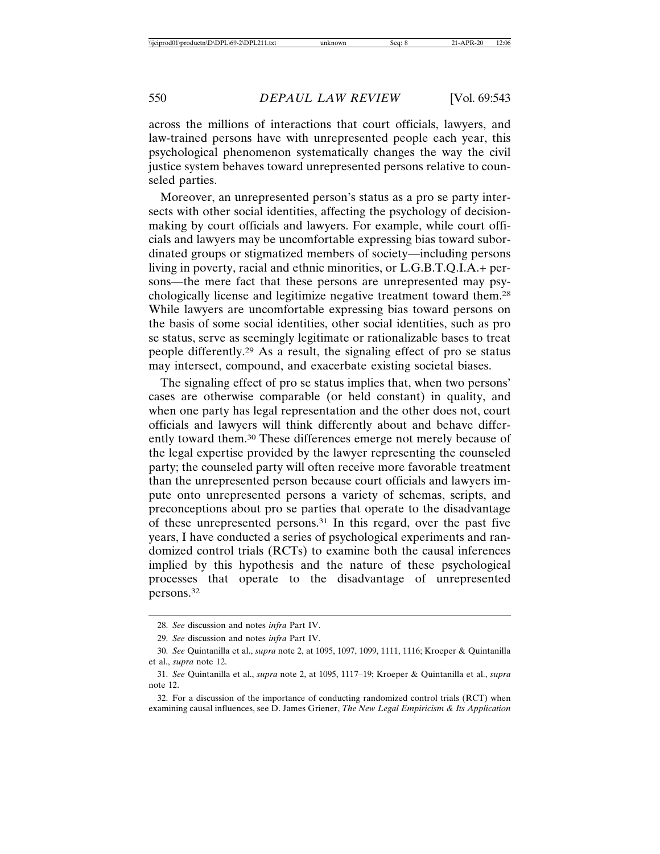across the millions of interactions that court officials, lawyers, and law-trained persons have with unrepresented people each year, this psychological phenomenon systematically changes the way the civil justice system behaves toward unrepresented persons relative to counseled parties.

Moreover, an unrepresented person's status as a pro se party intersects with other social identities, affecting the psychology of decisionmaking by court officials and lawyers. For example, while court officials and lawyers may be uncomfortable expressing bias toward subordinated groups or stigmatized members of society—including persons living in poverty, racial and ethnic minorities, or L.G.B.T.Q.I.A.+ persons—the mere fact that these persons are unrepresented may psychologically license and legitimize negative treatment toward them.28 While lawyers are uncomfortable expressing bias toward persons on the basis of some social identities, other social identities, such as pro se status, serve as seemingly legitimate or rationalizable bases to treat people differently.29 As a result, the signaling effect of pro se status may intersect, compound, and exacerbate existing societal biases.

The signaling effect of pro se status implies that, when two persons' cases are otherwise comparable (or held constant) in quality, and when one party has legal representation and the other does not, court officials and lawyers will think differently about and behave differently toward them.30 These differences emerge not merely because of the legal expertise provided by the lawyer representing the counseled party; the counseled party will often receive more favorable treatment than the unrepresented person because court officials and lawyers impute onto unrepresented persons a variety of schemas, scripts, and preconceptions about pro se parties that operate to the disadvantage of these unrepresented persons.31 In this regard, over the past five years, I have conducted a series of psychological experiments and randomized control trials (RCTs) to examine both the causal inferences implied by this hypothesis and the nature of these psychological processes that operate to the disadvantage of unrepresented persons.32

<sup>28.</sup> *See* discussion and notes *infra* Part IV.

<sup>29.</sup> *See* discussion and notes *infra* Part IV.

<sup>30.</sup> *See* Quintanilla et al., *supra* note 2, at 1095, 1097, 1099, 1111, 1116; Kroeper & Quintanilla et al., *supra* note 12.

<sup>31.</sup> *See* Quintanilla et al., *supra* note 2, at 1095, 1117–19; Kroeper & Quintanilla et al., *supra* note 12.

<sup>32.</sup> For a discussion of the importance of conducting randomized control trials (RCT) when examining causal influences, see D. James Griener, *The New Legal Empiricism & Its Application*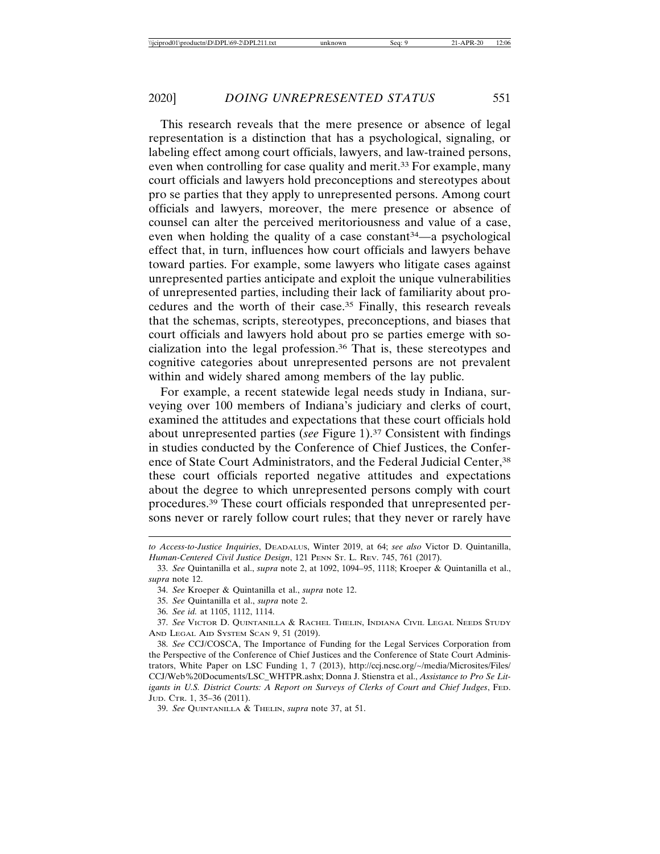This research reveals that the mere presence or absence of legal representation is a distinction that has a psychological, signaling, or labeling effect among court officials, lawyers, and law-trained persons, even when controlling for case quality and merit.<sup>33</sup> For example, many court officials and lawyers hold preconceptions and stereotypes about pro se parties that they apply to unrepresented persons. Among court officials and lawyers, moreover, the mere presence or absence of counsel can alter the perceived meritoriousness and value of a case, even when holding the quality of a case constant<sup>34</sup>—a psychological effect that, in turn, influences how court officials and lawyers behave toward parties. For example, some lawyers who litigate cases against unrepresented parties anticipate and exploit the unique vulnerabilities of unrepresented parties, including their lack of familiarity about procedures and the worth of their case.35 Finally, this research reveals that the schemas, scripts, stereotypes, preconceptions, and biases that court officials and lawyers hold about pro se parties emerge with socialization into the legal profession.36 That is, these stereotypes and cognitive categories about unrepresented persons are not prevalent within and widely shared among members of the lay public.

For example, a recent statewide legal needs study in Indiana, surveying over 100 members of Indiana's judiciary and clerks of court, examined the attitudes and expectations that these court officials hold about unrepresented parties (*see* Figure 1).37 Consistent with findings in studies conducted by the Conference of Chief Justices, the Conference of State Court Administrators, and the Federal Judicial Center,<sup>38</sup> these court officials reported negative attitudes and expectations about the degree to which unrepresented persons comply with court procedures.39 These court officials responded that unrepresented persons never or rarely follow court rules; that they never or rarely have

*to Access-to-Justice Inquiries*, DEADALUS, Winter 2019, at 64; *see also* Victor D. Quintanilla, *Human-Centered Civil Justice Design*, 121 PENN ST. L. REV. 745, 761 (2017).

<sup>33.</sup> *See* Quintanilla et al., *supra* note 2, at 1092, 1094–95, 1118; Kroeper & Quintanilla et al., *supra* note 12.

<sup>34.</sup> *See* Kroeper & Quintanilla et al., *supra* note 12.

<sup>35.</sup> *See* Quintanilla et al., *supra* note 2.

<sup>36.</sup> *See id.* at 1105, 1112, 1114.

<sup>37.</sup> *See* VICTOR D. QUINTANILLA & RACHEL THELIN, INDIANA CIVIL LEGAL NEEDS STUDY AND LEGAL AID SYSTEM SCAN 9, 51 (2019).

<sup>38.</sup> *See* CCJ/COSCA, The Importance of Funding for the Legal Services Corporation from the Perspective of the Conference of Chief Justices and the Conference of State Court Administrators, White Paper on LSC Funding 1, 7 (2013), http://ccj.ncsc.org/~/media/Microsites/Files/ CCJ/Web%20Documents/LSC\_WHTPR.ashx; Donna J. Stienstra et al., *Assistance to Pro Se Litigants in U.S. District Courts: A Report on Surveys of Clerks of Court and Chief Judges*, FED. JUD. CTR. 1, 35–36 (2011).

<sup>39.</sup> *See* QUINTANILLA & THELIN, *supra* note 37, at 51.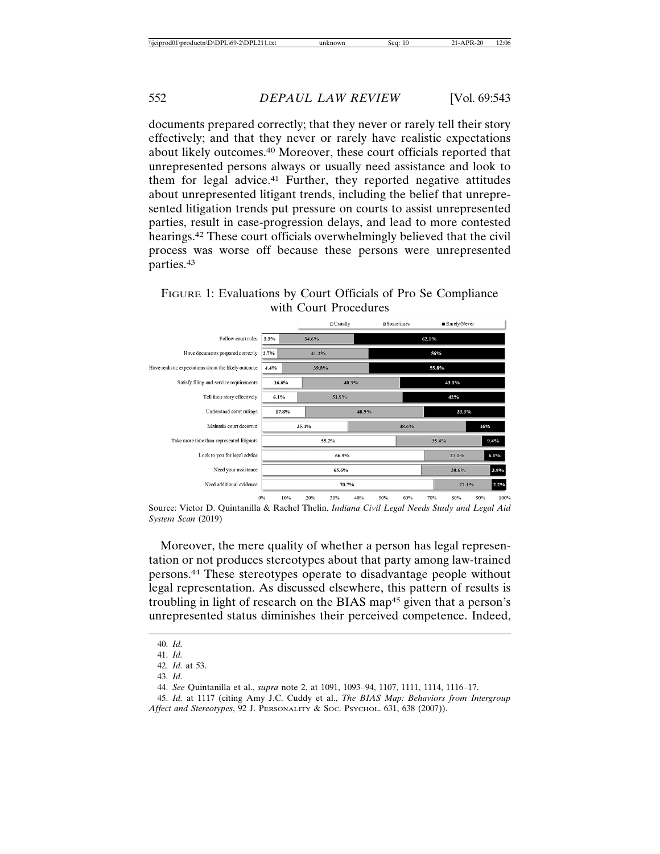documents prepared correctly; that they never or rarely tell their story effectively; and that they never or rarely have realistic expectations about likely outcomes.40 Moreover, these court officials reported that unrepresented persons always or usually need assistance and look to them for legal advice.<sup>41</sup> Further, they reported negative attitudes about unrepresented litigant trends, including the belief that unrepresented litigation trends put pressure on courts to assist unrepresented parties, result in case-progression delays, and lead to more contested hearings.42 These court officials overwhelmingly believed that the civil process was worse off because these persons were unrepresented parties.43

## FIGURE 1: Evaluations by Court Officials of Pro Se Compliance with Court Procedures



Source: Victor D. Quintanilla & Rachel Thelin, *Indiana Civil Legal Needs Study and Legal Aid System Scan* (2019)

Moreover, the mere quality of whether a person has legal representation or not produces stereotypes about that party among law-trained persons.44 These stereotypes operate to disadvantage people without legal representation. As discussed elsewhere, this pattern of results is troubling in light of research on the BIAS map45 given that a person's unrepresented status diminishes their perceived competence. Indeed,

<sup>40.</sup> *Id.*

<sup>41.</sup> *Id.*

<sup>42.</sup> *Id.* at 53.

<sup>43.</sup> *Id.*

<sup>44.</sup> *See* Quintanilla et al., *supra* note 2, at 1091, 1093–94, 1107, 1111, 1114, 1116–17.

<sup>45.</sup> *Id.* at 1117 (citing Amy J.C. Cuddy et al., *The BIAS Map: Behaviors from Intergroup*

*Affect and Stereotypes*, 92 J. PERSONALITY & SOC. PSYCHOL. 631, 638 (2007)).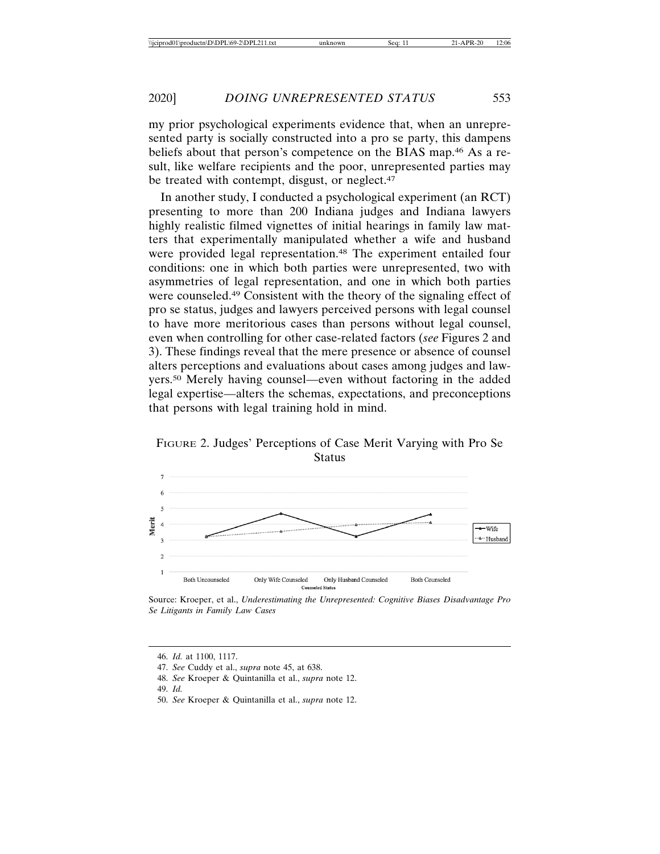my prior psychological experiments evidence that, when an unrepresented party is socially constructed into a pro se party, this dampens beliefs about that person's competence on the BIAS map.46 As a result, like welfare recipients and the poor, unrepresented parties may be treated with contempt, disgust, or neglect.<sup>47</sup>

In another study, I conducted a psychological experiment (an RCT) presenting to more than 200 Indiana judges and Indiana lawyers highly realistic filmed vignettes of initial hearings in family law matters that experimentally manipulated whether a wife and husband were provided legal representation.<sup>48</sup> The experiment entailed four conditions: one in which both parties were unrepresented, two with asymmetries of legal representation, and one in which both parties were counseled.49 Consistent with the theory of the signaling effect of pro se status, judges and lawyers perceived persons with legal counsel to have more meritorious cases than persons without legal counsel, even when controlling for other case-related factors (*see* Figures 2 and 3). These findings reveal that the mere presence or absence of counsel alters perceptions and evaluations about cases among judges and lawyers.50 Merely having counsel—even without factoring in the added legal expertise—alters the schemas, expectations, and preconceptions that persons with legal training hold in mind.





Source: Kroeper, et al., *Underestimating the Unrepresented: Cognitive Biases Disadvantage Pro Se Litigants in Family Law Cases*

- 49. *Id.*
- 50. *See* Kroeper & Quintanilla et al., *supra* note 12.

<sup>46.</sup> *Id.* at 1100, 1117.

<sup>47.</sup> *See* Cuddy et al., *supra* note 45, at 638.

<sup>48.</sup> *See* Kroeper & Quintanilla et al., *supra* note 12.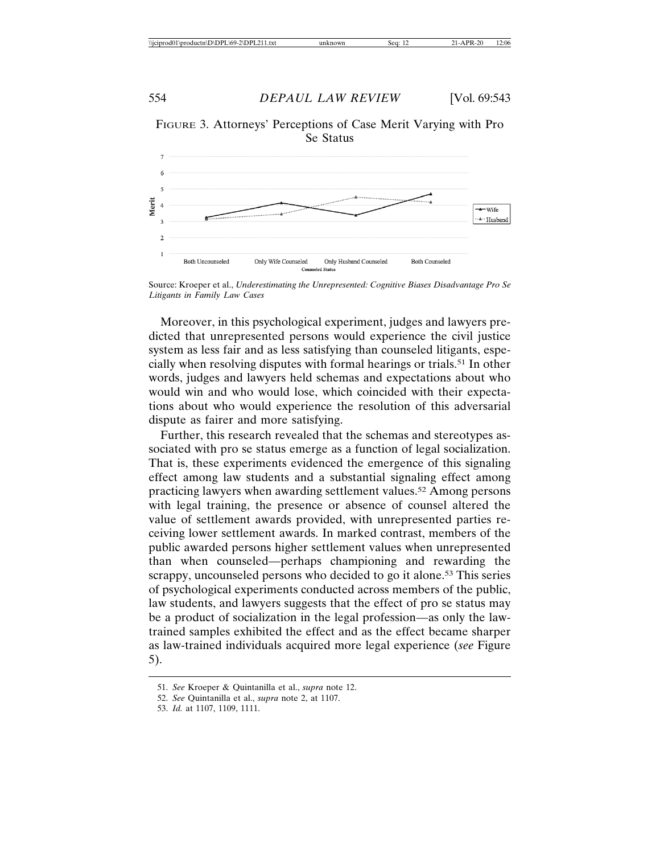FIGURE 3. Attorneys' Perceptions of Case Merit Varying with Pro Se Status



Source: Kroeper et al., *Underestimating the Unrepresented: Cognitive Biases Disadvantage Pro Se Litigants in Family Law Cases*

Moreover, in this psychological experiment, judges and lawyers predicted that unrepresented persons would experience the civil justice system as less fair and as less satisfying than counseled litigants, especially when resolving disputes with formal hearings or trials.51 In other words, judges and lawyers held schemas and expectations about who would win and who would lose, which coincided with their expectations about who would experience the resolution of this adversarial dispute as fairer and more satisfying.

Further, this research revealed that the schemas and stereotypes associated with pro se status emerge as a function of legal socialization. That is, these experiments evidenced the emergence of this signaling effect among law students and a substantial signaling effect among practicing lawyers when awarding settlement values.52 Among persons with legal training, the presence or absence of counsel altered the value of settlement awards provided, with unrepresented parties receiving lower settlement awards. In marked contrast, members of the public awarded persons higher settlement values when unrepresented than when counseled—perhaps championing and rewarding the scrappy, uncounseled persons who decided to go it alone.<sup>53</sup> This series of psychological experiments conducted across members of the public, law students, and lawyers suggests that the effect of pro se status may be a product of socialization in the legal profession—as only the lawtrained samples exhibited the effect and as the effect became sharper as law-trained individuals acquired more legal experience (*see* Figure 5).

<sup>51.</sup> *See* Kroeper & Quintanilla et al., *supra* note 12.

<sup>52.</sup> *See* Quintanilla et al., *supra* note 2, at 1107.

<sup>53.</sup> *Id.* at 1107, 1109, 1111.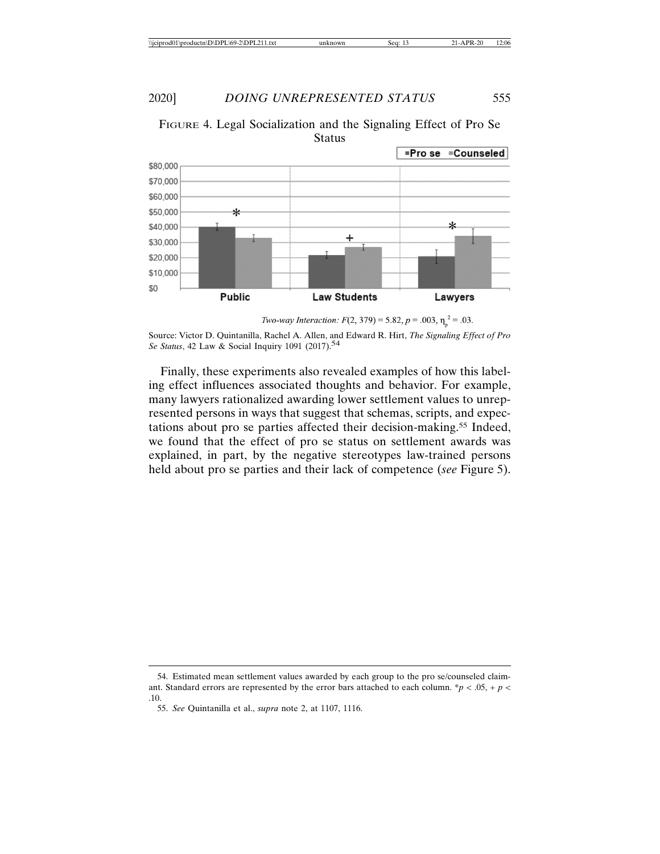

FIGURE 4. Legal Socialization and the Signaling Effect of Pro Se Status

*Two-way Interaction:*  $F(2, 379) = 5.82, p = .003, \eta_n^2 = .03$ .

Source: Victor D. Quintanilla, Rachel A. Allen, and Edward R. Hirt, *The Signaling Effect of Pro Se Status*, 42 Law & Social Inquiry 1091 (2017).<sup>54</sup>

Finally, these experiments also revealed examples of how this labeling effect influences associated thoughts and behavior. For example, many lawyers rationalized awarding lower settlement values to unrepresented persons in ways that suggest that schemas, scripts, and expectations about pro se parties affected their decision-making.55 Indeed, we found that the effect of pro se status on settlement awards was explained, in part, by the negative stereotypes law-trained persons held about pro se parties and their lack of competence (*see* Figure 5).

<sup>54.</sup> Estimated mean settlement values awarded by each group to the pro se/counseled claimant. Standard errors are represented by the error bars attached to each column.  $*p < .05$ , + *p* < .10.

<sup>55.</sup> *See* Quintanilla et al., *supra* note 2, at 1107, 1116.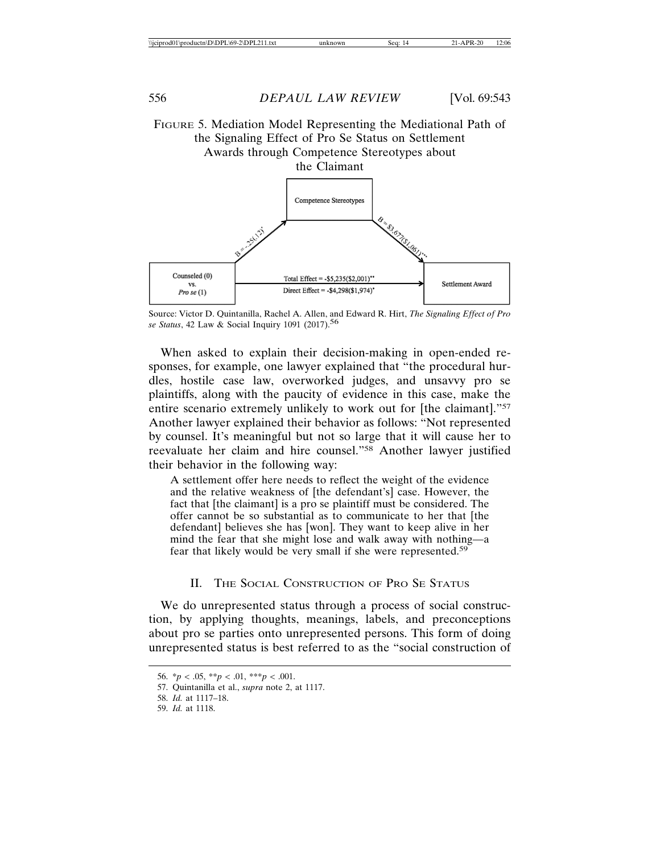

Source: Victor D. Quintanilla, Rachel A. Allen, and Edward R. Hirt, *The Signaling Effect of Pro se Status*, 42 Law & Social Inquiry 1091 (2017).56

When asked to explain their decision-making in open-ended responses, for example, one lawyer explained that "the procedural hurdles, hostile case law, overworked judges, and unsavvy pro se plaintiffs, along with the paucity of evidence in this case, make the entire scenario extremely unlikely to work out for [the claimant]."57 Another lawyer explained their behavior as follows: "Not represented by counsel. It's meaningful but not so large that it will cause her to reevaluate her claim and hire counsel."58 Another lawyer justified their behavior in the following way:

A settlement offer here needs to reflect the weight of the evidence and the relative weakness of [the defendant's] case. However, the fact that [the claimant] is a pro se plaintiff must be considered. The offer cannot be so substantial as to communicate to her that [the defendant] believes she has [won]. They want to keep alive in her mind the fear that she might lose and walk away with nothing—a fear that likely would be very small if she were represented.59

### II. THE SOCIAL CONSTRUCTION OF PRO SE STATUS

We do unrepresented status through a process of social construction, by applying thoughts, meanings, labels, and preconceptions about pro se parties onto unrepresented persons. This form of doing unrepresented status is best referred to as the "social construction of

<sup>56.</sup>  $* p < .05, ** p < .01, ** p < .001.$ 

<sup>57.</sup> Quintanilla et al., *supra* note 2, at 1117.

<sup>58.</sup> *Id.* at 1117–18.

<sup>59.</sup> *Id.* at 1118.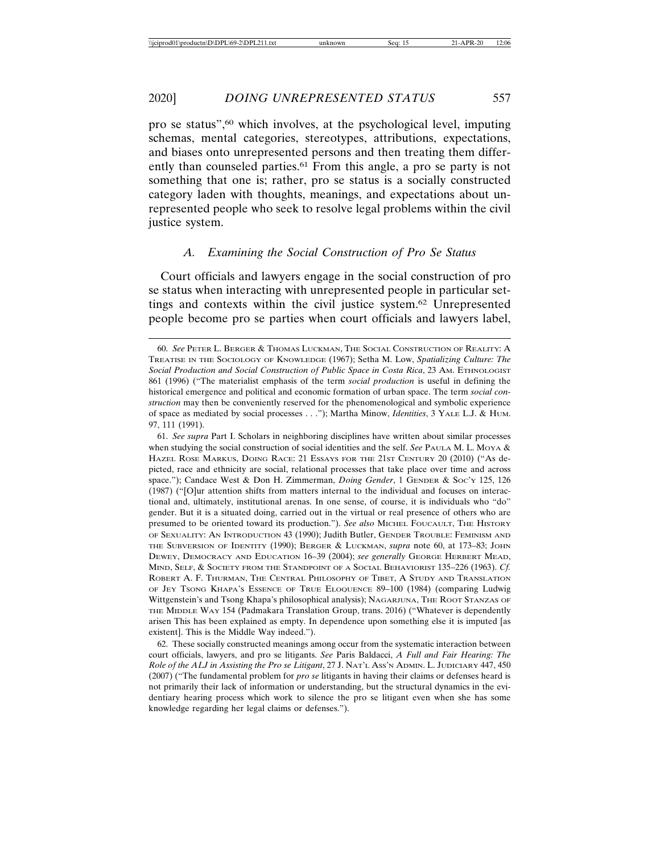pro se status",60 which involves, at the psychological level, imputing schemas, mental categories, stereotypes, attributions, expectations, and biases onto unrepresented persons and then treating them differently than counseled parties.<sup>61</sup> From this angle, a pro se party is not something that one is; rather, pro se status is a socially constructed category laden with thoughts, meanings, and expectations about unrepresented people who seek to resolve legal problems within the civil justice system.

### *A. Examining the Social Construction of Pro Se Status*

Court officials and lawyers engage in the social construction of pro se status when interacting with unrepresented people in particular settings and contexts within the civil justice system.62 Unrepresented people become pro se parties when court officials and lawyers label,

<sup>60.</sup> *See* PETER L. BERGER & THOMAS LUCKMAN, THE SOCIAL CONSTRUCTION OF REALITY: A TREATISE IN THE SOCIOLOGY OF KNOWLEDGE (1967); Setha M. Low, *Spatializing Culture: The Social Production and Social Construction of Public Space in Costa Rica*, 23 AM. ETHNOLOGIST 861 (1996) ("The materialist emphasis of the term *social production* is useful in defining the historical emergence and political and economic formation of urban space. The term *social construction* may then be conveniently reserved for the phenomenological and symbolic experience of space as mediated by social processes . . ."); Martha Minow, *Identities*, 3 YALE L.J. & HUM. 97, 111 (1991).

<sup>61.</sup> *See supra* Part I. Scholars in neighboring disciplines have written about similar processes when studying the social construction of social identities and the self. *See* PAULA M. L. MOYA & HAZEL ROSE MARKUS, DOING RACE: 21 ESSAYS FOR THE 21ST CENTURY 20 (2010) ("As depicted, race and ethnicity are social, relational processes that take place over time and across space."); Candace West & Don H. Zimmerman, *Doing Gender*, 1 GENDER & SOC'Y 125, 126 (1987) ("[O]ur attention shifts from matters internal to the individual and focuses on interactional and, ultimately, institutional arenas. In one sense, of course, it is individuals who "do" gender. But it is a situated doing, carried out in the virtual or real presence of others who are presumed to be oriented toward its production."). *See also* MICHEL FOUCAULT, THE HISTORY OF SEXUALITY: AN INTRODUCTION 43 (1990); Judith Butler, GENDER TROUBLE: FEMINISM AND THE SUBVERSION OF IDENTITY (1990); BERGER & LUCKMAN, *supra* note 60, at 173–83; JOHN DEWEY, DEMOCRACY AND EDUCATION 16–39 (2004); *see generally* GEORGE HERBERT MEAD, MIND, SELF, & SOCIETY FROM THE STANDPOINT OF A SOCIAL BEHAVIORIST 135–226 (1963). *Cf.* ROBERT A. F. THURMAN, THE CENTRAL PHILOSOPHY OF TIBET, A STUDY AND TRANSLATION OF JEY TSONG KHAPA'S ESSENCE OF TRUE ELOQUENCE 89–100 (1984) (comparing Ludwig Wittgenstein's and Tsong Khapa's philosophical analysis); NAGARJUNA, THE ROOT STANZAS OF THE MIDDLE WAY 154 (Padmakara Translation Group, trans. 2016) ("Whatever is dependently arisen This has been explained as empty. In dependence upon something else it is imputed [as existent]. This is the Middle Way indeed.").

<sup>62.</sup> These socially constructed meanings among occur from the systematic interaction between court officials, lawyers, and pro se litigants. *See* Paris Baldacci, *A Full and Fair Hearing: The Role of the ALJ in Assisting the Pro se Litigant*, 27 J. NAT'L ASS'N ADMIN. L. JUDICIARY 447, 450 (2007) ("The fundamental problem for *pro se* litigants in having their claims or defenses heard is not primarily their lack of information or understanding, but the structural dynamics in the evidentiary hearing process which work to silence the pro se litigant even when she has some knowledge regarding her legal claims or defenses.").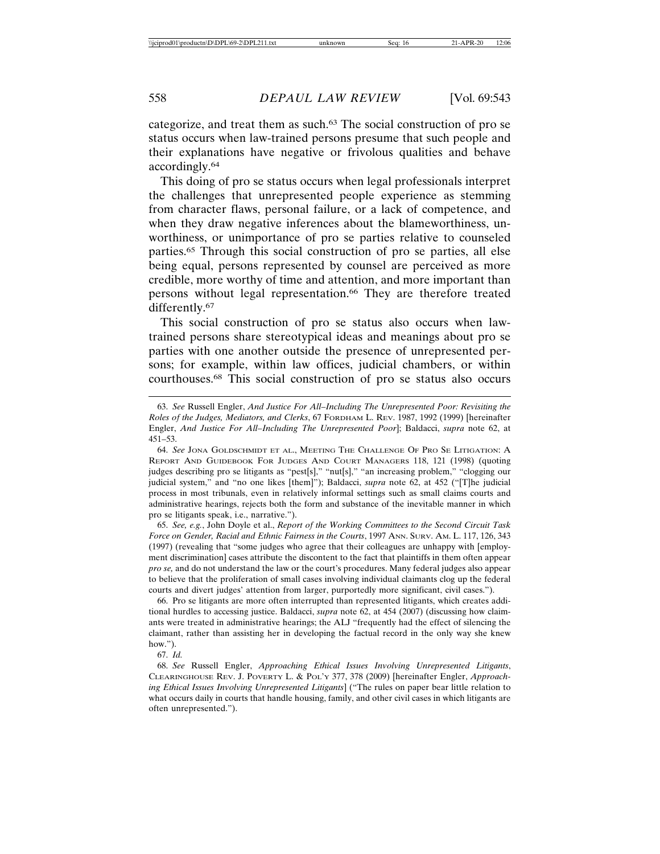categorize, and treat them as such.63 The social construction of pro se status occurs when law-trained persons presume that such people and their explanations have negative or frivolous qualities and behave accordingly.64

This doing of pro se status occurs when legal professionals interpret the challenges that unrepresented people experience as stemming from character flaws, personal failure, or a lack of competence, and when they draw negative inferences about the blameworthiness, unworthiness, or unimportance of pro se parties relative to counseled parties.65 Through this social construction of pro se parties, all else being equal, persons represented by counsel are perceived as more credible, more worthy of time and attention, and more important than persons without legal representation.66 They are therefore treated differently.<sup>67</sup>

This social construction of pro se status also occurs when lawtrained persons share stereotypical ideas and meanings about pro se parties with one another outside the presence of unrepresented persons; for example, within law offices, judicial chambers, or within courthouses.68 This social construction of pro se status also occurs

65. *See, e.g.*, John Doyle et al., *Report of the Working Committees to the Second Circuit Task Force on Gender, Racial and Ethnic Fairness in the Courts*, 1997 ANN. SURV. AM. L. 117, 126, 343 (1997) (revealing that "some judges who agree that their colleagues are unhappy with [employment discrimination] cases attribute the discontent to the fact that plaintiffs in them often appear *pro se,* and do not understand the law or the court's procedures. Many federal judges also appear to believe that the proliferation of small cases involving individual claimants clog up the federal courts and divert judges' attention from larger, purportedly more significant, civil cases.").

66. Pro se litigants are more often interrupted than represented litigants, which creates additional hurdles to accessing justice. Baldacci, *supra* note 62, at 454 (2007) (discussing how claimants were treated in administrative hearings; the ALJ "frequently had the effect of silencing the claimant, rather than assisting her in developing the factual record in the only way she knew how.").

67. *Id.*

68. *See* Russell Engler, *Approaching Ethical Issues Involving Unrepresented Litigants*, CLEARINGHOUSE REV. J. POVERTY L. & POL'Y 377, 378 (2009) [hereinafter Engler, *Approaching Ethical Issues Involving Unrepresented Litigants*] ("The rules on paper bear little relation to what occurs daily in courts that handle housing, family, and other civil cases in which litigants are often unrepresented.").

<sup>63.</sup> *See* Russell Engler, *And Justice For All–Including The Unrepresented Poor: Revisiting the Roles of the Judges, Mediators, and Clerks*, 67 FORDHAM L. REV. 1987, 1992 (1999) [hereinafter Engler, *And Justice For All–Including The Unrepresented Poor*]; Baldacci, *supra* note 62, at 451–53.

<sup>64.</sup> *See* JONA GOLDSCHMIDT ET AL., MEETING THE CHALLENGE OF PRO SE LITIGATION: A REPORT AND GUIDEBOOK FOR JUDGES AND COURT MANAGERS 118, 121 (1998) (quoting judges describing pro se litigants as "pest[s]," "nut[s]," "an increasing problem," "clogging our judicial system," and "no one likes [them]"); Baldacci, *supra* note 62, at 452 ("[T]he judicial process in most tribunals, even in relatively informal settings such as small claims courts and administrative hearings, rejects both the form and substance of the inevitable manner in which pro se litigants speak, i.e., narrative.").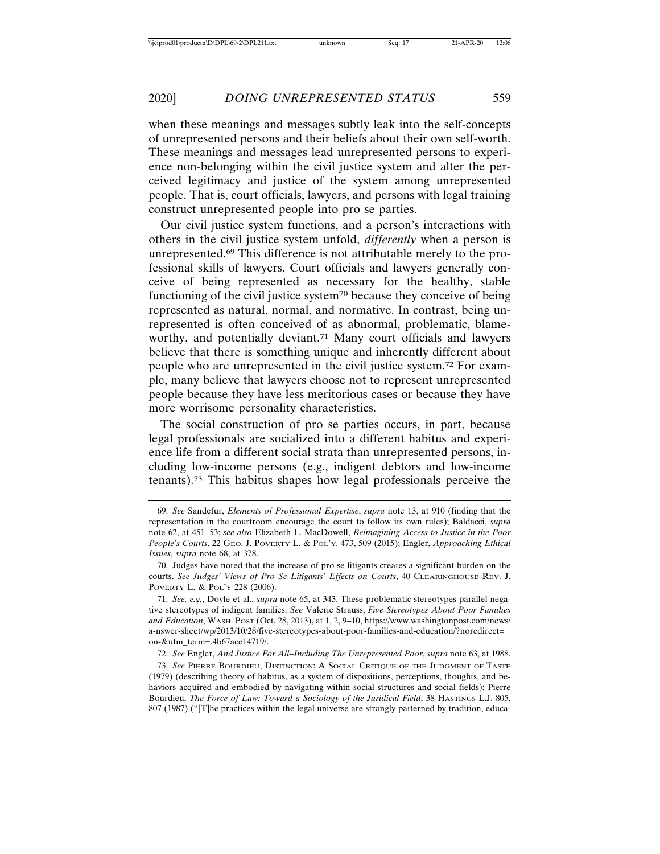when these meanings and messages subtly leak into the self-concepts of unrepresented persons and their beliefs about their own self-worth. These meanings and messages lead unrepresented persons to experience non-belonging within the civil justice system and alter the perceived legitimacy and justice of the system among unrepresented people. That is, court officials, lawyers, and persons with legal training construct unrepresented people into pro se parties.

Our civil justice system functions, and a person's interactions with others in the civil justice system unfold, *differently* when a person is unrepresented.69 This difference is not attributable merely to the professional skills of lawyers. Court officials and lawyers generally conceive of being represented as necessary for the healthy, stable functioning of the civil justice system70 because they conceive of being represented as natural, normal, and normative. In contrast, being unrepresented is often conceived of as abnormal, problematic, blameworthy, and potentially deviant.<sup>71</sup> Many court officials and lawyers believe that there is something unique and inherently different about people who are unrepresented in the civil justice system.72 For example, many believe that lawyers choose not to represent unrepresented people because they have less meritorious cases or because they have more worrisome personality characteristics.

The social construction of pro se parties occurs, in part, because legal professionals are socialized into a different habitus and experience life from a different social strata than unrepresented persons, including low-income persons (e.g., indigent debtors and low-income tenants).73 This habitus shapes how legal professionals perceive the

<sup>69.</sup> *See* Sandefur, *Elements of Professional Expertise*, *supra* note 13, at 910 (finding that the representation in the courtroom encourage the court to follow its own rules); Baldacci, *supra* note 62, at 451–53; *see also* Elizabeth L. MacDowell, *Reimagining Access to Justice in the Poor People's Courts*, 22 GEO. J. POVERTY L. & POL'Y. 473, 509 (2015); Engler, *Approaching Ethical Issues*, *supra* note 68, at 378.

<sup>70.</sup> Judges have noted that the increase of pro se litigants creates a significant burden on the courts. *See Judges' Views of Pro Se Litigants' Effects on Courts*, 40 CLEARINGHOUSE REV. J. POVERTY L. & POL'Y 228 (2006).

<sup>71.</sup> *See, e.g.*, Doyle et al., *supra* note 65, at 343. These problematic stereotypes parallel negative stereotypes of indigent families. *See* Valerie Strauss, *Five Stereotypes About Poor Families and Education*, WASH. POST (Oct. 28, 2013), at 1, 2, 9–10, https://www.washingtonpost.com/news/ a-nswer-sheet/wp/2013/10/28/five-stereotypes-about-poor-families-and-education/?noredirect= on-&utm\_term=.4b67ace14719/.

<sup>72.</sup> *See* Engler, *And Justice For All–Including The Unrepresented Poor*, *supra* note 63, at 1988.

<sup>73.</sup> *See* PIERRE BOURDIEU, DISTINCTION: A SOCIAL CRITIQUE OF THE JUDGMENT OF TASTE (1979) (describing theory of habitus, as a system of dispositions, perceptions, thoughts, and behaviors acquired and embodied by navigating within social structures and social fields); Pierre Bourdieu, *The Force of Law: Toward a Sociology of the Juridical Field*, 38 HASTINGS L.J. 805, 807 (1987) ("[T]he practices within the legal universe are strongly patterned by tradition, educa-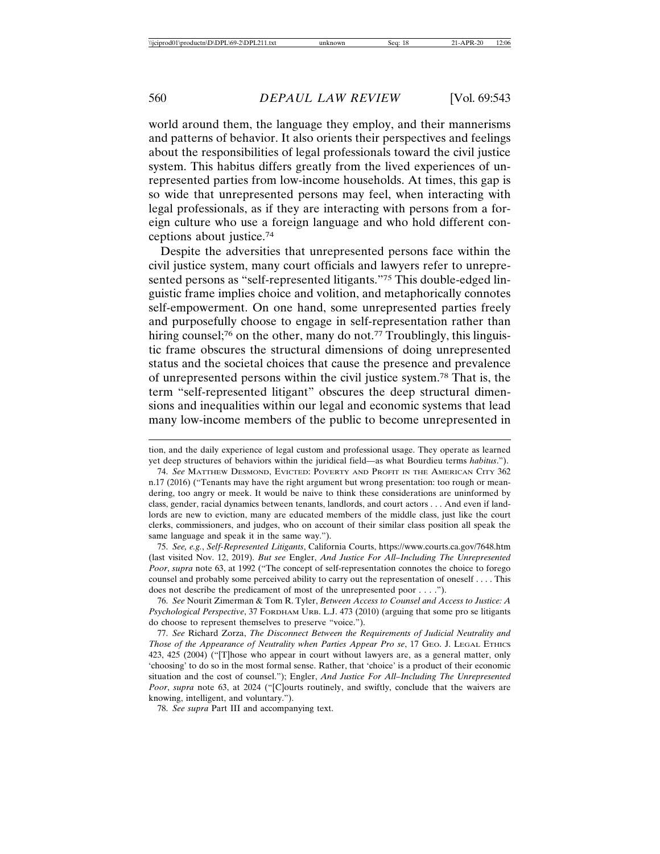world around them, the language they employ, and their mannerisms and patterns of behavior. It also orients their perspectives and feelings about the responsibilities of legal professionals toward the civil justice system. This habitus differs greatly from the lived experiences of unrepresented parties from low-income households. At times, this gap is so wide that unrepresented persons may feel, when interacting with legal professionals, as if they are interacting with persons from a foreign culture who use a foreign language and who hold different conceptions about justice.74

Despite the adversities that unrepresented persons face within the civil justice system, many court officials and lawyers refer to unrepresented persons as "self-represented litigants."75 This double-edged linguistic frame implies choice and volition, and metaphorically connotes self-empowerment. On one hand, some unrepresented parties freely and purposefully choose to engage in self-representation rather than hiring counsel;<sup>76</sup> on the other, many do not.<sup>77</sup> Troublingly, this linguistic frame obscures the structural dimensions of doing unrepresented status and the societal choices that cause the presence and prevalence of unrepresented persons within the civil justice system.78 That is, the term "self-represented litigant" obscures the deep structural dimensions and inequalities within our legal and economic systems that lead many low-income members of the public to become unrepresented in

75. *See, e.g.*, *Self-Represented Litigants*, California Courts, https://www.courts.ca.gov/7648.htm (last visited Nov. 12, 2019). *But see* Engler, *And Justice For All–Including The Unrepresented Poor*, *supra* note 63, at 1992 ("The concept of self-representation connotes the choice to forego counsel and probably some perceived ability to carry out the representation of oneself . . . . This does not describe the predicament of most of the unrepresented poor . . . .").

76. *See* Nourit Zimerman & Tom R. Tyler, *Between Access to Counsel and Access to Justice: A Psychological Perspective*, 37 FORDHAM URB. L.J. 473 (2010) (arguing that some pro se litigants do choose to represent themselves to preserve "voice.").

77. *See* Richard Zorza, *The Disconnect Between the Requirements of Judicial Neutrality and Those of the Appearance of Neutrality when Parties Appear Pro se*, 17 GEO. J. LEGAL ETHICS 423, 425 (2004) ("[T]hose who appear in court without lawyers are, as a general matter, only 'choosing' to do so in the most formal sense. Rather, that 'choice' is a product of their economic situation and the cost of counsel."); Engler, *And Justice For All–Including The Unrepresented Poor*, *supra* note 63, at 2024 ("[C]ourts routinely, and swiftly, conclude that the waivers are knowing, intelligent, and voluntary.").

78. *See supra* Part III and accompanying text.

tion, and the daily experience of legal custom and professional usage. They operate as learned yet deep structures of behaviors within the juridical field—as what Bourdieu terms *habitus*.").

<sup>74.</sup> *See* MATTHEW DESMOND, EVICTED: POVERTY AND PROFIT IN THE AMERICAN CITY 362 n.17 (2016) ("Tenants may have the right argument but wrong presentation: too rough or meandering, too angry or meek. It would be naive to think these considerations are uninformed by class, gender, racial dynamics between tenants, landlords, and court actors . . . And even if landlords are new to eviction, many are educated members of the middle class, just like the court clerks, commissioners, and judges, who on account of their similar class position all speak the same language and speak it in the same way.").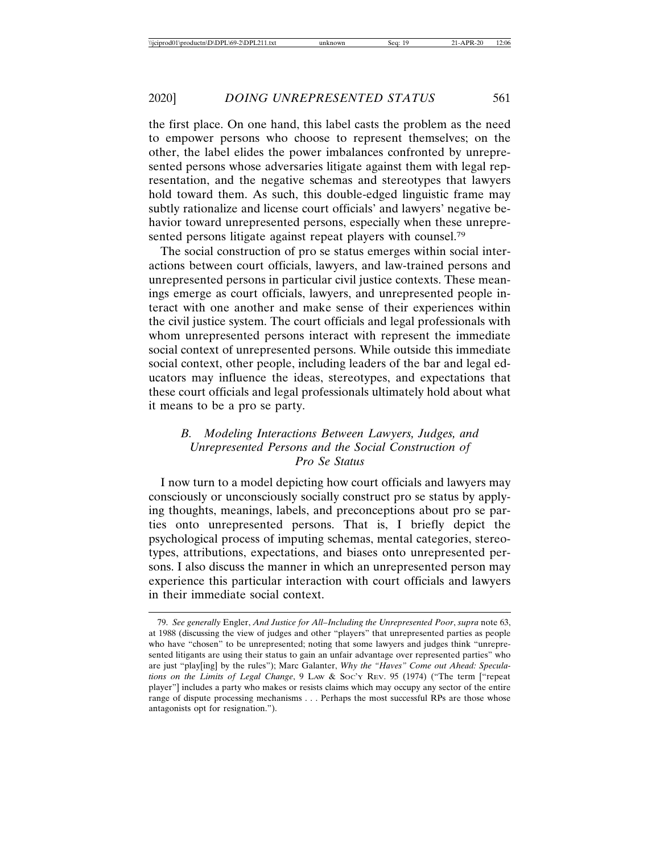the first place. On one hand, this label casts the problem as the need to empower persons who choose to represent themselves; on the other, the label elides the power imbalances confronted by unrepresented persons whose adversaries litigate against them with legal representation, and the negative schemas and stereotypes that lawyers hold toward them. As such, this double-edged linguistic frame may subtly rationalize and license court officials' and lawyers' negative behavior toward unrepresented persons, especially when these unrepresented persons litigate against repeat players with counsel.<sup>79</sup>

The social construction of pro se status emerges within social interactions between court officials, lawyers, and law-trained persons and unrepresented persons in particular civil justice contexts. These meanings emerge as court officials, lawyers, and unrepresented people interact with one another and make sense of their experiences within the civil justice system. The court officials and legal professionals with whom unrepresented persons interact with represent the immediate social context of unrepresented persons. While outside this immediate social context, other people, including leaders of the bar and legal educators may influence the ideas, stereotypes, and expectations that these court officials and legal professionals ultimately hold about what it means to be a pro se party.

# *B. Modeling Interactions Between Lawyers, Judges, and Unrepresented Persons and the Social Construction of Pro Se Status*

I now turn to a model depicting how court officials and lawyers may consciously or unconsciously socially construct pro se status by applying thoughts, meanings, labels, and preconceptions about pro se parties onto unrepresented persons. That is, I briefly depict the psychological process of imputing schemas, mental categories, stereotypes, attributions, expectations, and biases onto unrepresented persons. I also discuss the manner in which an unrepresented person may experience this particular interaction with court officials and lawyers in their immediate social context.

<sup>79.</sup> *See generally* Engler, *And Justice for All–Including the Unrepresented Poor*, *supra* note 63, at 1988 (discussing the view of judges and other "players" that unrepresented parties as people who have "chosen" to be unrepresented; noting that some lawyers and judges think "unrepresented litigants are using their status to gain an unfair advantage over represented parties" who are just "play[ing] by the rules"); Marc Galanter, *Why the "Haves" Come out Ahead: Speculations on the Limits of Legal Change*, 9 LAW & SOC'Y REV. 95 (1974) ("The term ["repeat player"] includes a party who makes or resists claims which may occupy any sector of the entire range of dispute processing mechanisms . . . Perhaps the most successful RPs are those whose antagonists opt for resignation.").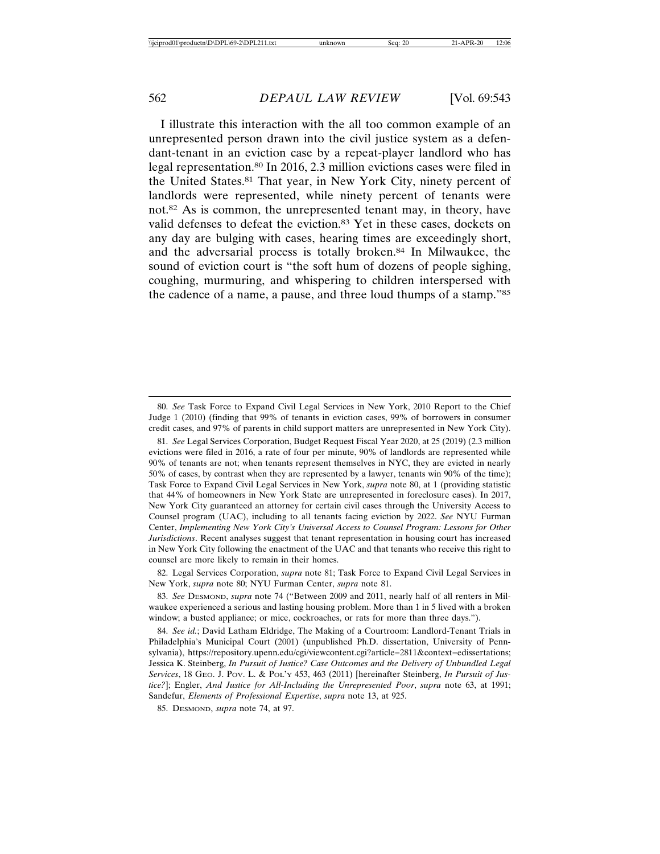I illustrate this interaction with the all too common example of an unrepresented person drawn into the civil justice system as a defendant-tenant in an eviction case by a repeat-player landlord who has legal representation.80 In 2016, 2.3 million evictions cases were filed in the United States.81 That year, in New York City, ninety percent of landlords were represented, while ninety percent of tenants were not.82 As is common, the unrepresented tenant may, in theory, have valid defenses to defeat the eviction.83 Yet in these cases, dockets on any day are bulging with cases, hearing times are exceedingly short, and the adversarial process is totally broken.84 In Milwaukee, the sound of eviction court is "the soft hum of dozens of people sighing, coughing, murmuring, and whispering to children interspersed with the cadence of a name, a pause, and three loud thumps of a stamp."85

82. Legal Services Corporation, *supra* note 81; Task Force to Expand Civil Legal Services in New York, *supra* note 80; NYU Furman Center, *supra* note 81.

83. *See* DESMOND, *supra* note 74 ("Between 2009 and 2011, nearly half of all renters in Milwaukee experienced a serious and lasting housing problem. More than 1 in 5 lived with a broken window; a busted appliance; or mice, cockroaches, or rats for more than three days.").

84. *See id.*; David Latham Eldridge, The Making of a Courtroom: Landlord-Tenant Trials in Philadelphia's Municipal Court (2001) (unpublished Ph.D. dissertation, University of Pennsylvania), https://repository.upenn.edu/cgi/viewcontent.cgi?article=2811&context=edissertations; Jessica K. Steinberg, *In Pursuit of Justice? Case Outcomes and the Delivery of Unbundled Legal Services*, 18 GEO. J. POV. L. & POL'Y 453, 463 (2011) [hereinafter Steinberg, *In Pursuit of Justice?*]; Engler, *And Justice for All-Including the Unrepresented Poor*, *supra* note 63, at 1991; Sandefur, *Elements of Professional Expertise*, *supra* note 13, at 925.

85. DESMOND, *supra* note 74, at 97.

<sup>80.</sup> *See* Task Force to Expand Civil Legal Services in New York, 2010 Report to the Chief Judge 1 (2010) (finding that 99% of tenants in eviction cases, 99% of borrowers in consumer credit cases, and 97% of parents in child support matters are unrepresented in New York City).

<sup>81.</sup> *See* Legal Services Corporation, Budget Request Fiscal Year 2020, at 25 (2019) (2.3 million evictions were filed in 2016, a rate of four per minute, 90% of landlords are represented while 90% of tenants are not; when tenants represent themselves in NYC, they are evicted in nearly 50% of cases, by contrast when they are represented by a lawyer, tenants win 90% of the time); Task Force to Expand Civil Legal Services in New York, *supra* note 80, at 1 (providing statistic that 44% of homeowners in New York State are unrepresented in foreclosure cases). In 2017, New York City guaranteed an attorney for certain civil cases through the University Access to Counsel program (UAC), including to all tenants facing eviction by 2022. *See* NYU Furman Center, *Implementing New York City's Universal Access to Counsel Program: Lessons for Other Jurisdictions*. Recent analyses suggest that tenant representation in housing court has increased in New York City following the enactment of the UAC and that tenants who receive this right to counsel are more likely to remain in their homes.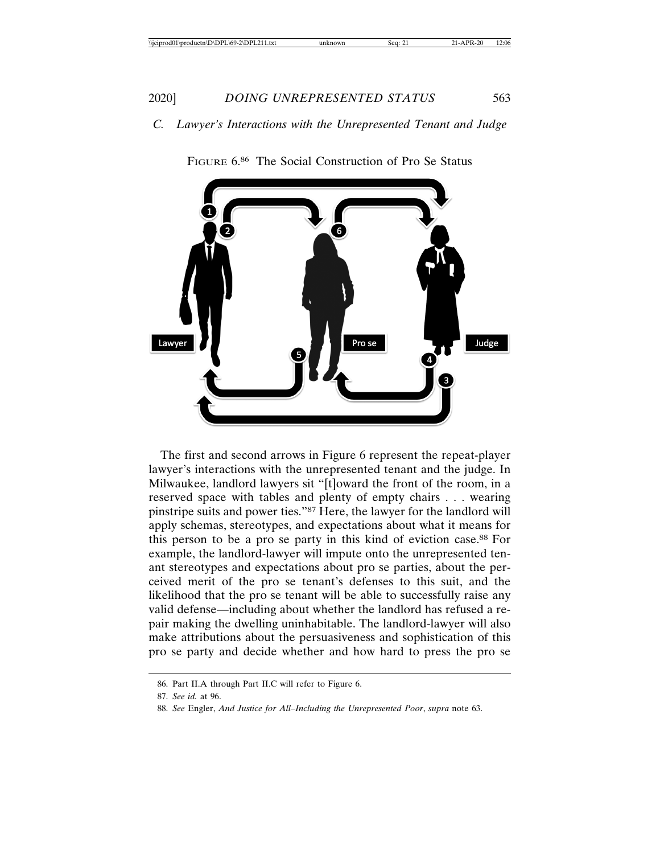# *C. Lawyer's Interactions with the Unrepresented Tenant and Judge*



FIGURE 6.86 The Social Construction of Pro Se Status

The first and second arrows in Figure 6 represent the repeat-player lawyer's interactions with the unrepresented tenant and the judge. In Milwaukee, landlord lawyers sit "[t]oward the front of the room, in a reserved space with tables and plenty of empty chairs . . . wearing pinstripe suits and power ties."87 Here, the lawyer for the landlord will apply schemas, stereotypes, and expectations about what it means for this person to be a pro se party in this kind of eviction case.88 For example, the landlord-lawyer will impute onto the unrepresented tenant stereotypes and expectations about pro se parties, about the perceived merit of the pro se tenant's defenses to this suit, and the likelihood that the pro se tenant will be able to successfully raise any valid defense—including about whether the landlord has refused a repair making the dwelling uninhabitable. The landlord-lawyer will also make attributions about the persuasiveness and sophistication of this pro se party and decide whether and how hard to press the pro se

<sup>86.</sup> Part II.A through Part II.C will refer to Figure 6.

<sup>87.</sup> *See id.* at 96.

<sup>88.</sup> *See* Engler, *And Justice for All–Including the Unrepresented Poor*, *supra* note 63.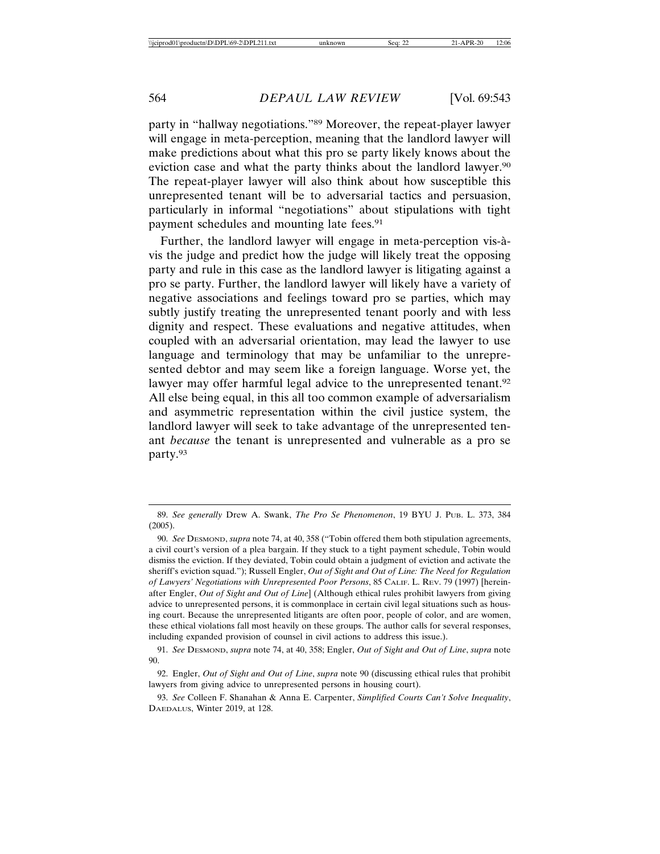party in "hallway negotiations."89 Moreover, the repeat-player lawyer will engage in meta-perception, meaning that the landlord lawyer will make predictions about what this pro se party likely knows about the eviction case and what the party thinks about the landlord lawyer.<sup>90</sup> The repeat-player lawyer will also think about how susceptible this unrepresented tenant will be to adversarial tactics and persuasion, particularly in informal "negotiations" about stipulations with tight payment schedules and mounting late fees.<sup>91</sup>

Further, the landlord lawyer will engage in meta-perception vis-àvis the judge and predict how the judge will likely treat the opposing party and rule in this case as the landlord lawyer is litigating against a pro se party. Further, the landlord lawyer will likely have a variety of negative associations and feelings toward pro se parties, which may subtly justify treating the unrepresented tenant poorly and with less dignity and respect. These evaluations and negative attitudes, when coupled with an adversarial orientation, may lead the lawyer to use language and terminology that may be unfamiliar to the unrepresented debtor and may seem like a foreign language. Worse yet, the lawyer may offer harmful legal advice to the unrepresented tenant.<sup>92</sup> All else being equal, in this all too common example of adversarialism and asymmetric representation within the civil justice system, the landlord lawyer will seek to take advantage of the unrepresented tenant *because* the tenant is unrepresented and vulnerable as a pro se party.93

<sup>89.</sup> *See generally* Drew A. Swank, *The Pro Se Phenomenon*, 19 BYU J. PUB. L. 373, 384 (2005).

<sup>90.</sup> *See* DESMOND, *supra* note 74, at 40, 358 ("Tobin offered them both stipulation agreements, a civil court's version of a plea bargain. If they stuck to a tight payment schedule, Tobin would dismiss the eviction. If they deviated, Tobin could obtain a judgment of eviction and activate the sheriff's eviction squad."); Russell Engler, *Out of Sight and Out of Line: The Need for Regulation of Lawyers' Negotiations with Unrepresented Poor Persons*, 85 CALIF. L. REV. 79 (1997) [hereinafter Engler, *Out of Sight and Out of Line*] (Although ethical rules prohibit lawyers from giving advice to unrepresented persons, it is commonplace in certain civil legal situations such as housing court. Because the unrepresented litigants are often poor, people of color, and are women, these ethical violations fall most heavily on these groups. The author calls for several responses, including expanded provision of counsel in civil actions to address this issue.).

<sup>91.</sup> *See* DESMOND, *supra* note 74, at 40, 358; Engler, *Out of Sight and Out of Line*, *supra* note 90.

<sup>92.</sup> Engler, *Out of Sight and Out of Line*, *supra* note 90 (discussing ethical rules that prohibit lawyers from giving advice to unrepresented persons in housing court).

<sup>93.</sup> *See* Colleen F. Shanahan & Anna E. Carpenter, *Simplified Courts Can't Solve Inequality*, DAEDALUS, Winter 2019, at 128.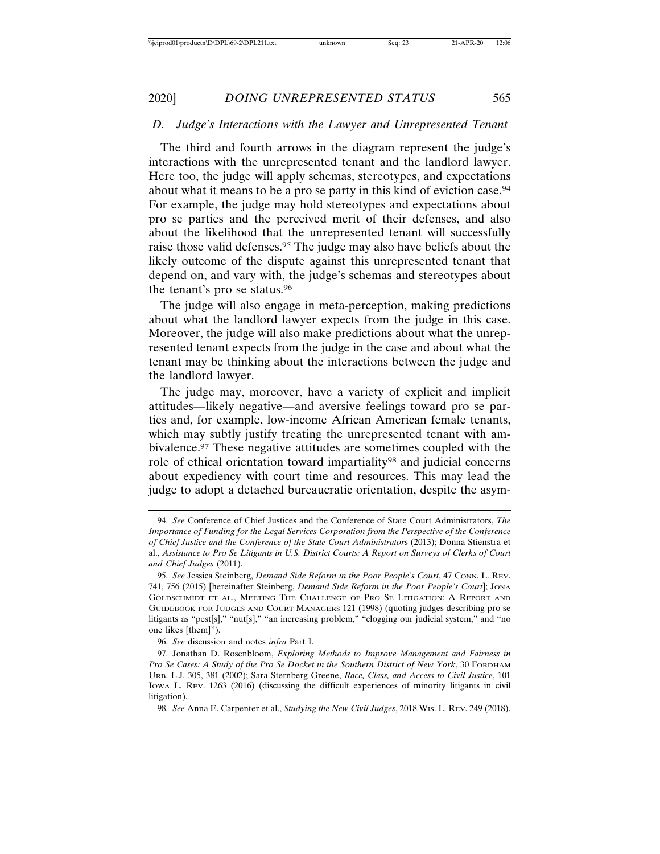## *D. Judge's Interactions with the Lawyer and Unrepresented Tenant*

The third and fourth arrows in the diagram represent the judge's interactions with the unrepresented tenant and the landlord lawyer. Here too, the judge will apply schemas, stereotypes, and expectations about what it means to be a pro se party in this kind of eviction case.94 For example, the judge may hold stereotypes and expectations about pro se parties and the perceived merit of their defenses, and also about the likelihood that the unrepresented tenant will successfully raise those valid defenses.<sup>95</sup> The judge may also have beliefs about the likely outcome of the dispute against this unrepresented tenant that depend on, and vary with, the judge's schemas and stereotypes about the tenant's pro se status.96

The judge will also engage in meta-perception, making predictions about what the landlord lawyer expects from the judge in this case. Moreover, the judge will also make predictions about what the unrepresented tenant expects from the judge in the case and about what the tenant may be thinking about the interactions between the judge and the landlord lawyer.

The judge may, moreover, have a variety of explicit and implicit attitudes—likely negative—and aversive feelings toward pro se parties and, for example, low-income African American female tenants, which may subtly justify treating the unrepresented tenant with ambivalence.97 These negative attitudes are sometimes coupled with the role of ethical orientation toward impartiality<sup>98</sup> and judicial concerns about expediency with court time and resources. This may lead the judge to adopt a detached bureaucratic orientation, despite the asym-

96. *See* discussion and notes *infra* Part I.

<sup>94.</sup> *See* Conference of Chief Justices and the Conference of State Court Administrators, *The Importance of Funding for the Legal Services Corporation from the Perspective of the Conference of Chief Justice and the Conference of the State Court Administrator*s (2013); Donna Stienstra et al., *Assistance to Pro Se Litigants in U.S. District Courts: A Report on Surveys of Clerks of Court and Chief Judges* (2011).

<sup>95.</sup> *See* Jessica Steinberg, *Demand Side Reform in the Poor People's Court*, 47 CONN. L. REV. 741, 756 (2015) [hereinafter Steinberg, *Demand Side Reform in the Poor People's Court*]; JONA GOLDSCHMIDT ET AL., MEETING THE CHALLENGE OF PRO SE LITIGATION: A REPORT AND GUIDEBOOK FOR JUDGES AND COURT MANAGERS 121 (1998) (quoting judges describing pro se litigants as "pest[s]," "nut[s]," "an increasing problem," "clogging our judicial system," and "no one likes [them]").

<sup>97.</sup> Jonathan D. Rosenbloom, *Exploring Methods to Improve Management and Fairness in Pro Se Cases: A Study of the Pro Se Docket in the Southern District of New York*, 30 FORDHAM URB. L.J. 305, 381 (2002); Sara Sternberg Greene, *Race, Class, and Access to Civil Justice*, 101 IOWA L. REV. 1263 (2016) (discussing the difficult experiences of minority litigants in civil litigation).

<sup>98.</sup> *See* Anna E. Carpenter et al., *Studying the New Civil Judges*, 2018 WIS. L. REV. 249 (2018).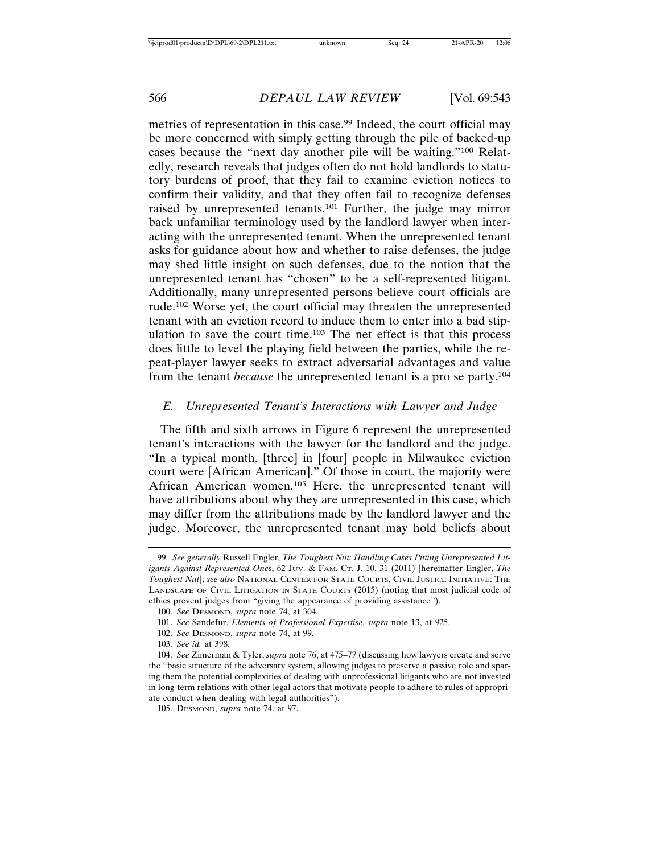metries of representation in this case.<sup>99</sup> Indeed, the court official may be more concerned with simply getting through the pile of backed-up cases because the "next day another pile will be waiting."100 Relatedly, research reveals that judges often do not hold landlords to statutory burdens of proof, that they fail to examine eviction notices to confirm their validity, and that they often fail to recognize defenses raised by unrepresented tenants.101 Further, the judge may mirror back unfamiliar terminology used by the landlord lawyer when interacting with the unrepresented tenant. When the unrepresented tenant asks for guidance about how and whether to raise defenses, the judge may shed little insight on such defenses, due to the notion that the unrepresented tenant has "chosen" to be a self-represented litigant. Additionally, many unrepresented persons believe court officials are rude.102 Worse yet, the court official may threaten the unrepresented tenant with an eviction record to induce them to enter into a bad stipulation to save the court time.103 The net effect is that this process does little to level the playing field between the parties, while the repeat-player lawyer seeks to extract adversarial advantages and value from the tenant *because* the unrepresented tenant is a pro se party.104

# *E. Unrepresented Tenant's Interactions with Lawyer and Judge*

The fifth and sixth arrows in Figure 6 represent the unrepresented tenant's interactions with the lawyer for the landlord and the judge. "In a typical month, [three] in [four] people in Milwaukee eviction court were [African American]." Of those in court, the majority were African American women.105 Here, the unrepresented tenant will have attributions about why they are unrepresented in this case, which may differ from the attributions made by the landlord lawyer and the judge. Moreover, the unrepresented tenant may hold beliefs about

<sup>99.</sup> *See generally* Russell Engler, *The Toughest Nut: Handling Cases Pitting Unrepresented Litigants Against Represented One*s, 62 JUV. & FAM. CT. J. 10, 31 (2011) [hereinafter Engler, *The Toughest Nut*]; *see also* NATIONAL CENTER FOR STATE COURTS, CIVIL JUSTICE INITIATIVE: THE LANDSCAPE OF CIVIL LITIGATION IN STATE COURTS (2015) (noting that most judicial code of ethics prevent judges from "giving the appearance of providing assistance").

<sup>100.</sup> *See* DESMOND, *supra* note 74, at 304.

<sup>101.</sup> *See* Sandefur, *Elements of Professional Expertise*, *supra* note 13, at 925.

<sup>102.</sup> *See* DESMOND, *supra* note 74, at 99.

<sup>103.</sup> *See id.* at 398.

<sup>104.</sup> *See* Zimerman & Tyler, *supra* note 76, at 475–77 (discussing how lawyers create and serve the "basic structure of the adversary system, allowing judges to preserve a passive role and sparing them the potential complexities of dealing with unprofessional litigants who are not invested in long-term relations with other legal actors that motivate people to adhere to rules of appropriate conduct when dealing with legal authorities").

<sup>105.</sup> DESMOND, *supra* note 74, at 97.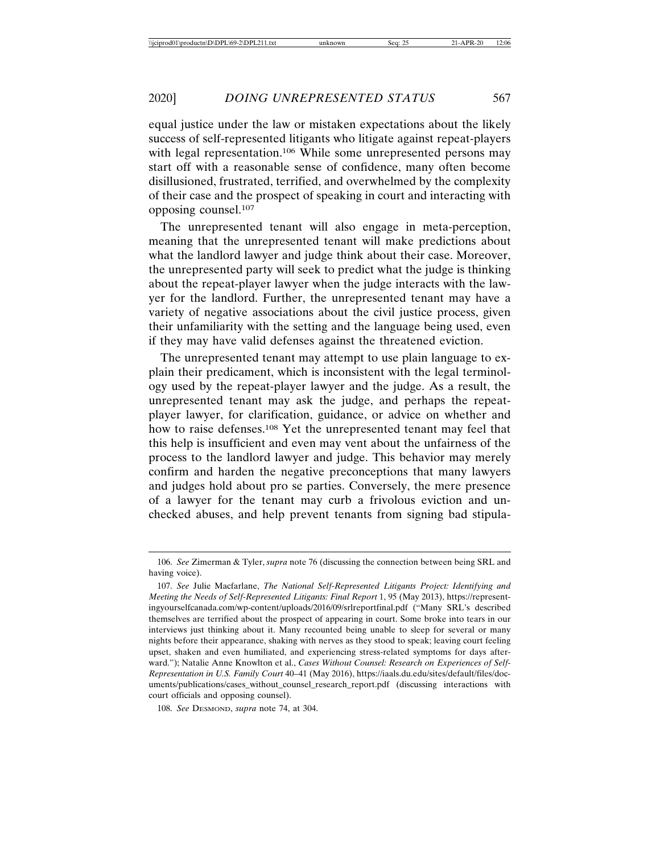equal justice under the law or mistaken expectations about the likely success of self-represented litigants who litigate against repeat-players with legal representation.<sup>106</sup> While some unrepresented persons may start off with a reasonable sense of confidence, many often become disillusioned, frustrated, terrified, and overwhelmed by the complexity of their case and the prospect of speaking in court and interacting with opposing counsel.107

The unrepresented tenant will also engage in meta-perception, meaning that the unrepresented tenant will make predictions about what the landlord lawyer and judge think about their case. Moreover, the unrepresented party will seek to predict what the judge is thinking about the repeat-player lawyer when the judge interacts with the lawyer for the landlord. Further, the unrepresented tenant may have a variety of negative associations about the civil justice process, given their unfamiliarity with the setting and the language being used, even if they may have valid defenses against the threatened eviction.

The unrepresented tenant may attempt to use plain language to explain their predicament, which is inconsistent with the legal terminology used by the repeat-player lawyer and the judge. As a result, the unrepresented tenant may ask the judge, and perhaps the repeatplayer lawyer, for clarification, guidance, or advice on whether and how to raise defenses.108 Yet the unrepresented tenant may feel that this help is insufficient and even may vent about the unfairness of the process to the landlord lawyer and judge. This behavior may merely confirm and harden the negative preconceptions that many lawyers and judges hold about pro se parties. Conversely, the mere presence of a lawyer for the tenant may curb a frivolous eviction and unchecked abuses, and help prevent tenants from signing bad stipula-

<sup>106.</sup> *See* Zimerman & Tyler, *supra* note 76 (discussing the connection between being SRL and having voice).

<sup>107.</sup> *See* Julie Macfarlane, *The National Self-Represented Litigants Project: Identifying and Meeting the Needs of Self-Represented Litigants: Final Report* 1, 95 (May 2013), https://representingyourselfcanada.com/wp-content/uploads/2016/09/srlreportfinal.pdf ("Many SRL's described themselves are terrified about the prospect of appearing in court. Some broke into tears in our interviews just thinking about it. Many recounted being unable to sleep for several or many nights before their appearance, shaking with nerves as they stood to speak; leaving court feeling upset, shaken and even humiliated, and experiencing stress-related symptoms for days afterward."); Natalie Anne Knowlton et al., *Cases Without Counsel: Research on Experiences of Self-Representation in U.S. Family Court* 40–41 (May 2016), https://iaals.du.edu/sites/default/files/documents/publications/cases\_without\_counsel\_research\_report.pdf (discussing interactions with court officials and opposing counsel).

<sup>108.</sup> *See* DESMOND, *supra* note 74, at 304.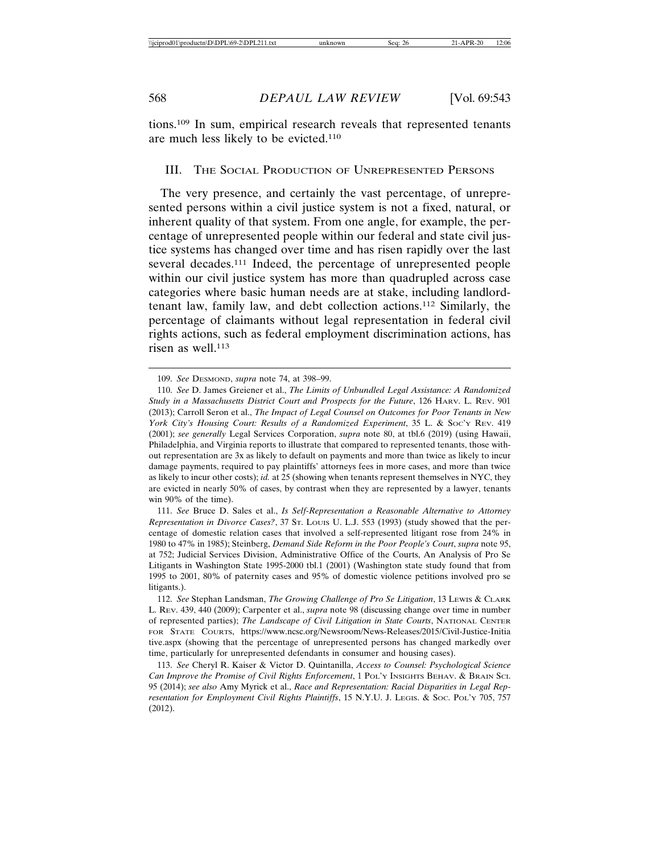tions.109 In sum, empirical research reveals that represented tenants are much less likely to be evicted.110

### III. THE SOCIAL PRODUCTION OF UNREPRESENTED PERSONS

The very presence, and certainly the vast percentage, of unrepresented persons within a civil justice system is not a fixed, natural, or inherent quality of that system. From one angle, for example, the percentage of unrepresented people within our federal and state civil justice systems has changed over time and has risen rapidly over the last several decades.111 Indeed, the percentage of unrepresented people within our civil justice system has more than quadrupled across case categories where basic human needs are at stake, including landlordtenant law, family law, and debt collection actions.112 Similarly, the percentage of claimants without legal representation in federal civil rights actions, such as federal employment discrimination actions, has risen as well.<sup>113</sup>

111. *See* Bruce D. Sales et al., *Is Self-Representation a Reasonable Alternative to Attorney Representation in Divorce Cases?*, 37 ST. LOUIS U. L.J. 553 (1993) (study showed that the percentage of domestic relation cases that involved a self-represented litigant rose from 24% in 1980 to 47% in 1985); Steinberg, *Demand Side Reform in the Poor People's Court*, *supra* note 95, at 752; Judicial Services Division, Administrative Office of the Courts, An Analysis of Pro Se Litigants in Washington State 1995-2000 tbl.1 (2001) (Washington state study found that from 1995 to 2001, 80% of paternity cases and 95% of domestic violence petitions involved pro se litigants.).

<sup>109.</sup> *See* DESMOND, *supra* note 74, at 398–99.

<sup>110.</sup> *See* D. James Greiener et al., *The Limits of Unbundled Legal Assistance: A Randomized Study in a Massachusetts District Court and Prospects for the Future*, 126 HARV. L. REV. 901 (2013); Carroll Seron et al., *The Impact of Legal Counsel on Outcomes for Poor Tenants in New York City's Housing Court: Results of a Randomized Experiment*, 35 L. & SOC'Y REV. 419 (2001); *see generally* Legal Services Corporation, *supra* note 80, at tbl.6 (2019) (using Hawaii, Philadelphia, and Virginia reports to illustrate that compared to represented tenants, those without representation are 3x as likely to default on payments and more than twice as likely to incur damage payments, required to pay plaintiffs' attorneys fees in more cases, and more than twice as likely to incur other costs); *id.* at 25 (showing when tenants represent themselves in NYC, they are evicted in nearly 50% of cases, by contrast when they are represented by a lawyer, tenants win 90% of the time).

<sup>112.</sup> *See* Stephan Landsman, *The Growing Challenge of Pro Se Litigation*, 13 LEWIS & CLARK L. REV. 439, 440 (2009); Carpenter et al., *supra* note 98 (discussing change over time in number of represented parties); *The Landscape of Civil Litigation in State Courts*, NATIONAL CENTER FOR STATE COURTS, https://www.ncsc.org/Newsroom/News-Releases/2015/Civil-Justice-Initia tive.aspx (showing that the percentage of unrepresented persons has changed markedly over time, particularly for unrepresented defendants in consumer and housing cases).

<sup>113.</sup> *See* Cheryl R. Kaiser & Victor D. Quintanilla, *Access to Counsel: Psychological Science Can Improve the Promise of Civil Rights Enforcement*, 1 POL'Y INSIGHTS BEHAV. & BRAIN SCI. 95 (2014); *see also* Amy Myrick et al., *Race and Representation: Racial Disparities in Legal Representation for Employment Civil Rights Plaintiffs*, 15 N.Y.U. J. LEGIS. & SOC. POL'Y 705, 757 (2012).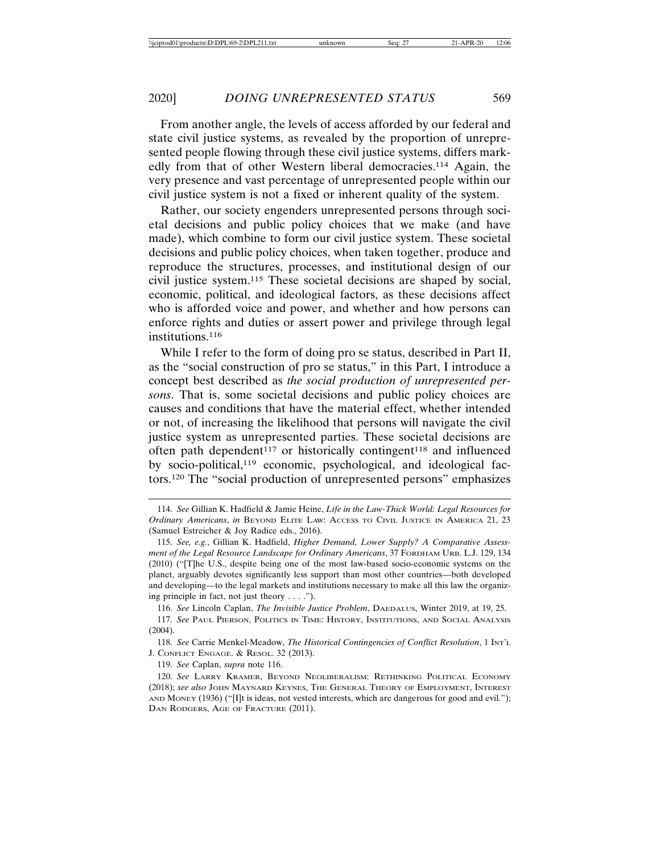From another angle, the levels of access afforded by our federal and state civil justice systems, as revealed by the proportion of unrepresented people flowing through these civil justice systems, differs markedly from that of other Western liberal democracies.114 Again, the very presence and vast percentage of unrepresented people within our civil justice system is not a fixed or inherent quality of the system.

Rather, our society engenders unrepresented persons through societal decisions and public policy choices that we make (and have made), which combine to form our civil justice system. These societal decisions and public policy choices, when taken together, produce and reproduce the structures, processes, and institutional design of our civil justice system.115 These societal decisions are shaped by social, economic, political, and ideological factors, as these decisions affect who is afforded voice and power, and whether and how persons can enforce rights and duties or assert power and privilege through legal institutions.<sup>116</sup>

While I refer to the form of doing pro se status, described in Part II, as the "social construction of pro se status," in this Part, I introduce a concept best described as *the social production of unrepresented persons*. That is, some societal decisions and public policy choices are causes and conditions that have the material effect, whether intended or not, of increasing the likelihood that persons will navigate the civil justice system as unrepresented parties. These societal decisions are often path dependent<sup>117</sup> or historically contingent<sup>118</sup> and influenced by socio-political,<sup>119</sup> economic, psychological, and ideological factors.120 The "social production of unrepresented persons" emphasizes

116. *See* Lincoln Caplan, *The Invisible Justice Problem*, DAEDALUS, Winter 2019, at 19, 25.

118. *See* Carrie Menkel-Meadow, *The Historical Contingencies of Conflict Resolution*, 1 INT'L J. CONFLICT ENGAGE. & RESOL. 32 (2013).

119. *See* Caplan, *supra* note 116.

120. *See* LARRY KRAMER, BEYOND NEOLIBERALISM: RETHINKING POLITICAL ECONOMY (2018); *see also* JOHN MAYNARD KEYNES, THE GENERAL THEORY OF EMPLOYMENT, INTEREST AND MONEY (1936) ("[I]t is ideas, not vested interests, which are dangerous for good and evil."); DAN RODGERS, AGE OF FRACTURE (2011).

<sup>114.</sup> *See* Gillian K. Hadfield & Jamie Heine, *Life in the Law-Thick World: Legal Resources for Ordinary Americans*, *in* BEYOND ELITE LAW: ACCESS TO CIVIL JUSTICE IN AMERICA 21, 23 (Samuel Estreicher & Joy Radice eds., 2016).

<sup>115.</sup> *See, e.g.*, Gillian K. Hadfield, *Higher Demand, Lower Supply? A Comparative Assessment of the Legal Resource Landscape for Ordinary Americans*, 37 FORDHAM URB. L.J. 129, 134 (2010) ("[T]he U.S., despite being one of the most law-based socio-economic systems on the planet, arguably devotes significantly less support than most other countries—both developed and developing—to the legal markets and institutions necessary to make all this law the organizing principle in fact, not just theory . . . .").

<sup>117.</sup> *See* PAUL PIERSON, POLITICS IN TIME: HISTORY, INSTITUTIONS, AND SOCIAL ANALYSIS (2004).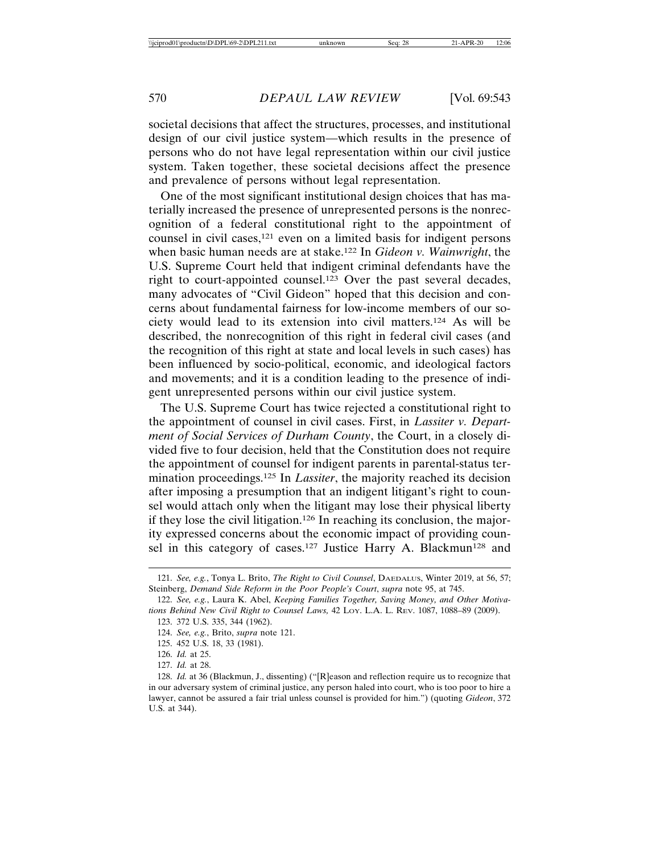societal decisions that affect the structures, processes, and institutional design of our civil justice system—which results in the presence of persons who do not have legal representation within our civil justice system. Taken together, these societal decisions affect the presence and prevalence of persons without legal representation.

One of the most significant institutional design choices that has materially increased the presence of unrepresented persons is the nonrecognition of a federal constitutional right to the appointment of counsel in civil cases,121 even on a limited basis for indigent persons when basic human needs are at stake.122 In *Gideon v. Wainwright*, the U.S. Supreme Court held that indigent criminal defendants have the right to court-appointed counsel.123 Over the past several decades, many advocates of "Civil Gideon" hoped that this decision and concerns about fundamental fairness for low-income members of our society would lead to its extension into civil matters.124 As will be described, the nonrecognition of this right in federal civil cases (and the recognition of this right at state and local levels in such cases) has been influenced by socio-political, economic, and ideological factors and movements; and it is a condition leading to the presence of indigent unrepresented persons within our civil justice system.

The U.S. Supreme Court has twice rejected a constitutional right to the appointment of counsel in civil cases. First, in *Lassiter v. Department of Social Services of Durham County*, the Court, in a closely divided five to four decision, held that the Constitution does not require the appointment of counsel for indigent parents in parental-status termination proceedings.125 In *Lassiter*, the majority reached its decision after imposing a presumption that an indigent litigant's right to counsel would attach only when the litigant may lose their physical liberty if they lose the civil litigation.126 In reaching its conclusion, the majority expressed concerns about the economic impact of providing counsel in this category of cases.<sup>127</sup> Justice Harry A. Blackmun<sup>128</sup> and

125. 452 U.S. 18, 33 (1981).

<sup>121.</sup> *See, e.g.*, Tonya L. Brito, *The Right to Civil Counsel*, DAEDALUS, Winter 2019, at 56, 57; Steinberg, *Demand Side Reform in the Poor People's Court*, *supra* note 95, at 745.

<sup>122.</sup> *See, e.g.*, Laura K. Abel, *Keeping Families Together, Saving Money, and Other Motivations Behind New Civil Right to Counsel Laws,* 42 LOY. L.A. L. REV. 1087, 1088–89 (2009).

<sup>123. 372</sup> U.S. 335, 344 (1962).

<sup>124.</sup> *See, e.g.*, Brito, *supra* note 121.

<sup>126.</sup> *Id.* at 25. 127. *Id.* at 28.

<sup>128.</sup> *Id.* at 36 (Blackmun, J., dissenting) ("[R]eason and reflection require us to recognize that in our adversary system of criminal justice, any person haled into court, who is too poor to hire a lawyer, cannot be assured a fair trial unless counsel is provided for him.") (quoting *Gideon*, 372 U.S. at 344).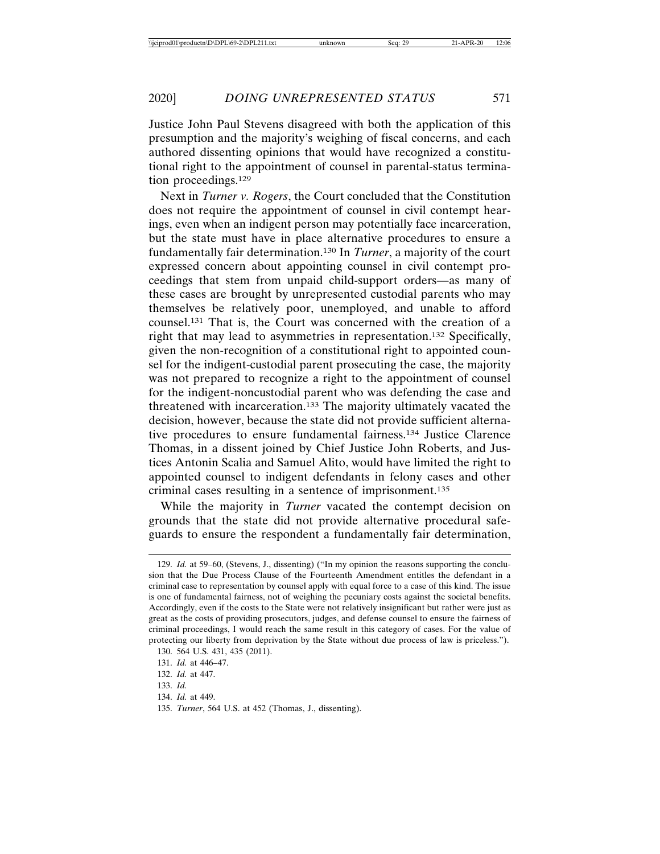Justice John Paul Stevens disagreed with both the application of this presumption and the majority's weighing of fiscal concerns, and each authored dissenting opinions that would have recognized a constitutional right to the appointment of counsel in parental-status termination proceedings.129

Next in *Turner v. Rogers*, the Court concluded that the Constitution does not require the appointment of counsel in civil contempt hearings, even when an indigent person may potentially face incarceration, but the state must have in place alternative procedures to ensure a fundamentally fair determination.130 In *Turner*, a majority of the court expressed concern about appointing counsel in civil contempt proceedings that stem from unpaid child-support orders—as many of these cases are brought by unrepresented custodial parents who may themselves be relatively poor, unemployed, and unable to afford counsel.131 That is, the Court was concerned with the creation of a right that may lead to asymmetries in representation.132 Specifically, given the non-recognition of a constitutional right to appointed counsel for the indigent-custodial parent prosecuting the case, the majority was not prepared to recognize a right to the appointment of counsel for the indigent-noncustodial parent who was defending the case and threatened with incarceration.133 The majority ultimately vacated the decision, however, because the state did not provide sufficient alternative procedures to ensure fundamental fairness.134 Justice Clarence Thomas, in a dissent joined by Chief Justice John Roberts, and Justices Antonin Scalia and Samuel Alito, would have limited the right to appointed counsel to indigent defendants in felony cases and other criminal cases resulting in a sentence of imprisonment.135

While the majority in *Turner* vacated the contempt decision on grounds that the state did not provide alternative procedural safeguards to ensure the respondent a fundamentally fair determination,

<sup>129.</sup> *Id.* at 59–60, (Stevens, J., dissenting) ("In my opinion the reasons supporting the conclusion that the Due Process Clause of the Fourteenth Amendment entitles the defendant in a criminal case to representation by counsel apply with equal force to a case of this kind. The issue is one of fundamental fairness, not of weighing the pecuniary costs against the societal benefits. Accordingly, even if the costs to the State were not relatively insignificant but rather were just as great as the costs of providing prosecutors, judges, and defense counsel to ensure the fairness of criminal proceedings, I would reach the same result in this category of cases. For the value of protecting our liberty from deprivation by the State without due process of law is priceless."). 130. 564 U.S. 431, 435 (2011).

<sup>131.</sup> *Id.* at 446–47.

<sup>132.</sup> *Id.* at 447.

<sup>133.</sup> *Id.*

<sup>134.</sup> *Id.* at 449.

<sup>135.</sup> *Turner*, 564 U.S. at 452 (Thomas, J., dissenting).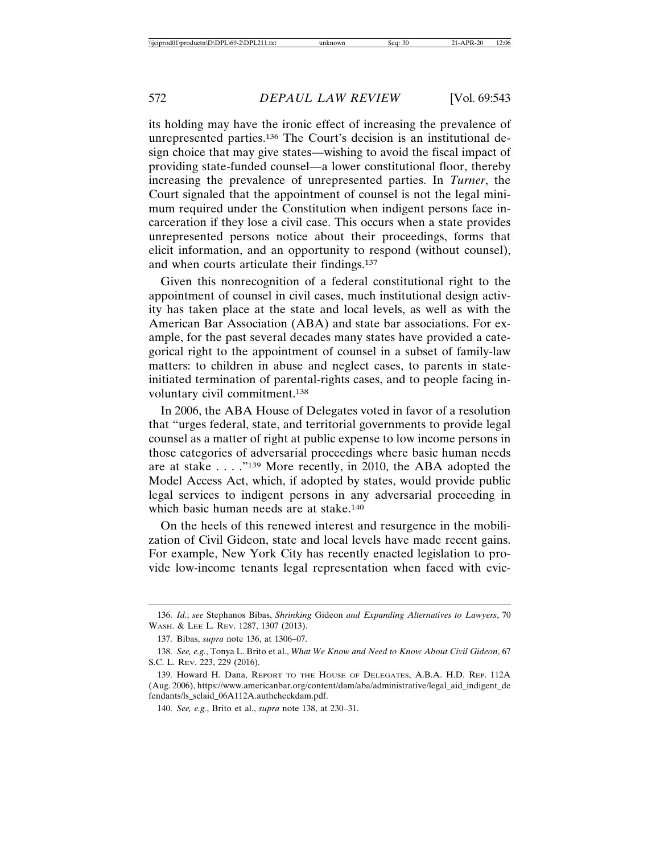its holding may have the ironic effect of increasing the prevalence of unrepresented parties.136 The Court's decision is an institutional design choice that may give states—wishing to avoid the fiscal impact of providing state-funded counsel—a lower constitutional floor, thereby increasing the prevalence of unrepresented parties. In *Turner*, the Court signaled that the appointment of counsel is not the legal minimum required under the Constitution when indigent persons face incarceration if they lose a civil case. This occurs when a state provides unrepresented persons notice about their proceedings, forms that elicit information, and an opportunity to respond (without counsel), and when courts articulate their findings.137

Given this nonrecognition of a federal constitutional right to the appointment of counsel in civil cases, much institutional design activity has taken place at the state and local levels, as well as with the American Bar Association (ABA) and state bar associations. For example, for the past several decades many states have provided a categorical right to the appointment of counsel in a subset of family-law matters: to children in abuse and neglect cases, to parents in stateinitiated termination of parental-rights cases, and to people facing involuntary civil commitment.138

In 2006, the ABA House of Delegates voted in favor of a resolution that "urges federal, state, and territorial governments to provide legal counsel as a matter of right at public expense to low income persons in those categories of adversarial proceedings where basic human needs are at stake . . . ."139 More recently, in 2010, the ABA adopted the Model Access Act, which, if adopted by states, would provide public legal services to indigent persons in any adversarial proceeding in which basic human needs are at stake.<sup>140</sup>

On the heels of this renewed interest and resurgence in the mobilization of Civil Gideon, state and local levels have made recent gains. For example, New York City has recently enacted legislation to provide low-income tenants legal representation when faced with evic-

<sup>136.</sup> *Id.*; *see* Stephanos Bibas, *Shrinking* Gideon *and Expanding Alternatives to Lawyers*, 70 WASH. & LEE L. REV. 1287, 1307 (2013).

<sup>137.</sup> Bibas, *supra* note 136, at 1306–07.

<sup>138.</sup> *See, e.g.*, Tonya L. Brito et al., *What We Know and Need to Know About Civil Gideon*, 67 S.C. L. REV. 223, 229 (2016).

<sup>139.</sup> Howard H. Dana, REPORT TO THE HOUSE OF DELEGATES, A.B.A. H.D. REP. 112A (Aug. 2006), https://www.americanbar.org/content/dam/aba/administrative/legal\_aid\_indigent\_de fendants/ls\_sclaid\_06A112A.authcheckdam.pdf.

<sup>140.</sup> *See, e.g.*, Brito et al., *supra* note 138, at 230–31.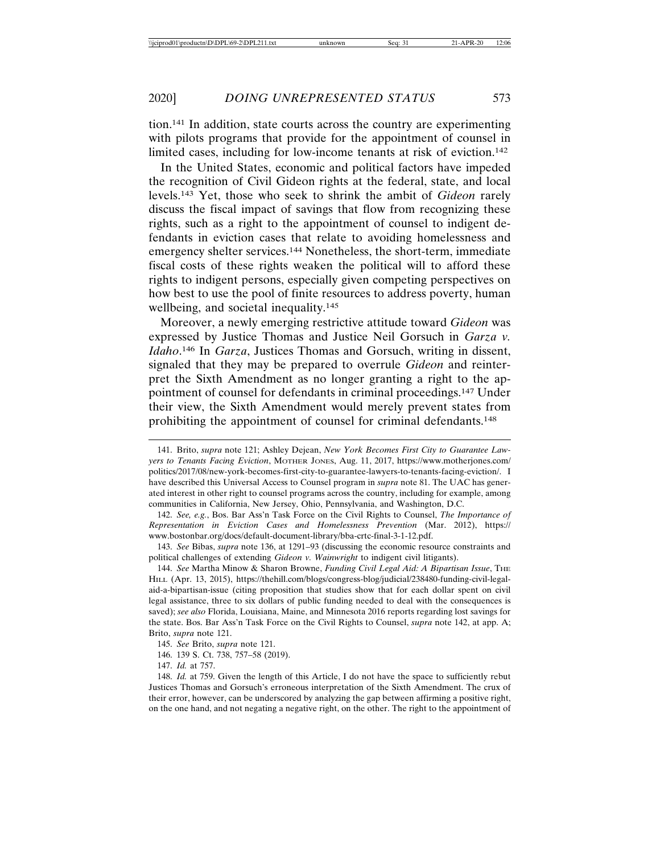tion.141 In addition, state courts across the country are experimenting with pilots programs that provide for the appointment of counsel in limited cases, including for low-income tenants at risk of eviction.<sup>142</sup>

In the United States, economic and political factors have impeded the recognition of Civil Gideon rights at the federal, state, and local levels.143 Yet, those who seek to shrink the ambit of *Gideon* rarely discuss the fiscal impact of savings that flow from recognizing these rights, such as a right to the appointment of counsel to indigent defendants in eviction cases that relate to avoiding homelessness and emergency shelter services.144 Nonetheless, the short-term, immediate fiscal costs of these rights weaken the political will to afford these rights to indigent persons, especially given competing perspectives on how best to use the pool of finite resources to address poverty, human wellbeing, and societal inequality.<sup>145</sup>

Moreover, a newly emerging restrictive attitude toward *Gideon* was expressed by Justice Thomas and Justice Neil Gorsuch in *Garza v. Idaho*. 146 In *Garza*, Justices Thomas and Gorsuch, writing in dissent, signaled that they may be prepared to overrule *Gideon* and reinterpret the Sixth Amendment as no longer granting a right to the appointment of counsel for defendants in criminal proceedings.147 Under their view, the Sixth Amendment would merely prevent states from prohibiting the appointment of counsel for criminal defendants.148

142. *See, e.g.*, Bos. Bar Ass'n Task Force on the Civil Rights to Counsel, *The Importance of Representation in Eviction Cases and Homelessness Prevention* (Mar. 2012), https:// www.bostonbar.org/docs/default-document-library/bba-crtc-final-3-1-12.pdf.

143. *See* Bibas, *supra* note 136, at 1291–93 (discussing the economic resource constraints and political challenges of extending *Gideon v. Wainwright* to indigent civil litigants).

144. *See* Martha Minow & Sharon Browne, *Funding Civil Legal Aid: A Bipartisan Issue*, THE HILL (Apr. 13, 2015), https://thehill.com/blogs/congress-blog/judicial/238480-funding-civil-legalaid-a-bipartisan-issue (citing proposition that studies show that for each dollar spent on civil legal assistance, three to six dollars of public funding needed to deal with the consequences is saved); *see also* Florida, Louisiana, Maine, and Minnesota 2016 reports regarding lost savings for the state. Bos. Bar Ass'n Task Force on the Civil Rights to Counsel, *supra* note 142, at app. A; Brito, *supra* note 121.

<sup>141.</sup> Brito, *supra* note 121; Ashley Dejean, *New York Becomes First City to Guarantee Lawyers to Tenants Facing Eviction*, MOTHER JONES, Aug. 11, 2017, https://www.motherjones.com/ politics/2017/08/new-york-becomes-first-city-to-guarantee-lawyers-to-tenants-facing-eviction/. I have described this Universal Access to Counsel program in *supra* note 81. The UAC has generated interest in other right to counsel programs across the country, including for example, among communities in California, New Jersey, Ohio, Pennsylvania, and Washington, D.C.

<sup>145.</sup> *See* Brito, *supra* note 121.

<sup>146. 139</sup> S. Ct. 738, 757–58 (2019).

<sup>147.</sup> *Id.* at 757.

<sup>148.</sup> *Id.* at 759. Given the length of this Article, I do not have the space to sufficiently rebut Justices Thomas and Gorsuch's erroneous interpretation of the Sixth Amendment. The crux of their error, however, can be underscored by analyzing the gap between affirming a positive right, on the one hand, and not negating a negative right, on the other. The right to the appointment of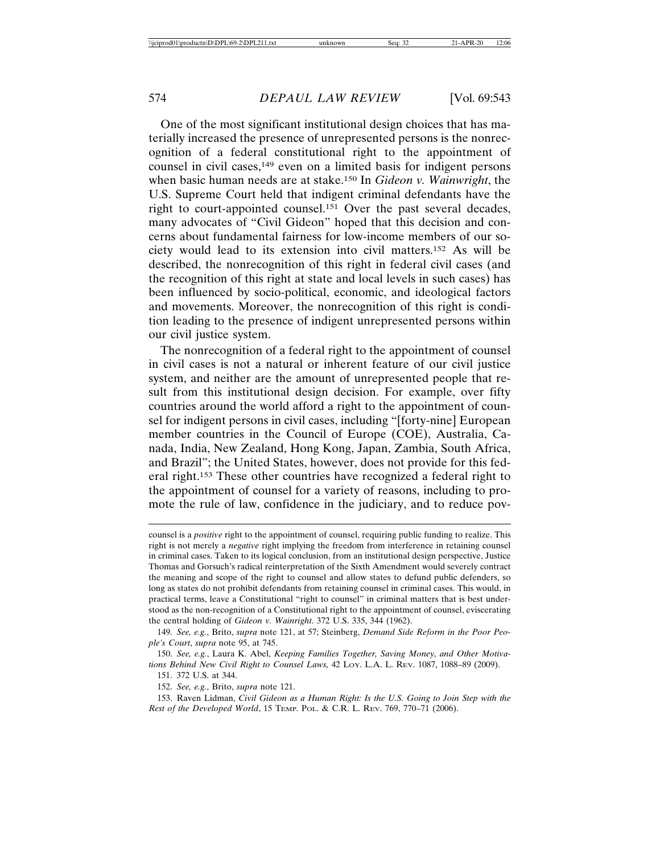One of the most significant institutional design choices that has materially increased the presence of unrepresented persons is the nonrecognition of a federal constitutional right to the appointment of counsel in civil cases, $149$  even on a limited basis for indigent persons when basic human needs are at stake.150 In *Gideon v. Wainwright*, the U.S. Supreme Court held that indigent criminal defendants have the right to court-appointed counsel.151 Over the past several decades, many advocates of "Civil Gideon" hoped that this decision and concerns about fundamental fairness for low-income members of our society would lead to its extension into civil matters.152 As will be described, the nonrecognition of this right in federal civil cases (and the recognition of this right at state and local levels in such cases) has been influenced by socio-political, economic, and ideological factors and movements. Moreover, the nonrecognition of this right is condition leading to the presence of indigent unrepresented persons within our civil justice system.

The nonrecognition of a federal right to the appointment of counsel in civil cases is not a natural or inherent feature of our civil justice system, and neither are the amount of unrepresented people that result from this institutional design decision. For example, over fifty countries around the world afford a right to the appointment of counsel for indigent persons in civil cases, including "[forty-nine] European member countries in the Council of Europe (COE), Australia, Canada, India, New Zealand, Hong Kong, Japan, Zambia, South Africa, and Brazil"; the United States, however, does not provide for this federal right.153 These other countries have recognized a federal right to the appointment of counsel for a variety of reasons, including to promote the rule of law, confidence in the judiciary, and to reduce pov-

151. 372 U.S. at 344.

152. *See, e.g.*, Brito, *supra* note 121.

153. Raven Lidman, *Civil Gideon as a Human Right: Is the U.S. Going to Join Step with the Rest of the Developed World*, 15 TEMP. POL. & C.R. L. REV. 769, 770–71 (2006).

counsel is a *positive* right to the appointment of counsel, requiring public funding to realize. This right is not merely a *negative* right implying the freedom from interference in retaining counsel in criminal cases. Taken to its logical conclusion, from an institutional design perspective, Justice Thomas and Gorsuch's radical reinterpretation of the Sixth Amendment would severely contract the meaning and scope of the right to counsel and allow states to defund public defenders, so long as states do not prohibit defendants from retaining counsel in criminal cases. This would, in practical terms, leave a Constitutional "right to counsel" in criminal matters that is best understood as the non-recognition of a Constitutional right to the appointment of counsel, eviscerating the central holding of *Gideon v. Wainright*. 372 U.S. 335, 344 (1962).

<sup>149.</sup> *See, e.g.*, Brito, *supra* note 121, at 57; Steinberg, *Demand Side Reform in the Poor People's Court*, *supra* note 95, at 745.

<sup>150.</sup> *See, e.g.*, Laura K. Abel, *Keeping Families Together, Saving Money, and Other Motivations Behind New Civil Right to Counsel Laws,* 42 LOY. L.A. L. REV. 1087, 1088–89 (2009).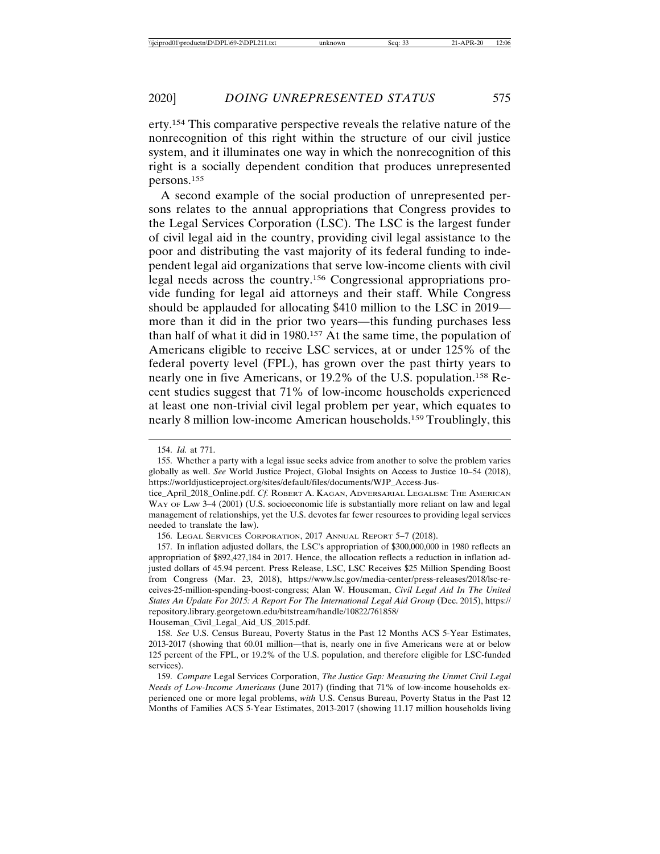erty.154 This comparative perspective reveals the relative nature of the nonrecognition of this right within the structure of our civil justice system, and it illuminates one way in which the nonrecognition of this right is a socially dependent condition that produces unrepresented persons.155

A second example of the social production of unrepresented persons relates to the annual appropriations that Congress provides to the Legal Services Corporation (LSC). The LSC is the largest funder of civil legal aid in the country, providing civil legal assistance to the poor and distributing the vast majority of its federal funding to independent legal aid organizations that serve low-income clients with civil legal needs across the country.156 Congressional appropriations provide funding for legal aid attorneys and their staff. While Congress should be applauded for allocating \$410 million to the LSC in 2019 more than it did in the prior two years—this funding purchases less than half of what it did in 1980.157 At the same time, the population of Americans eligible to receive LSC services, at or under 125% of the federal poverty level (FPL), has grown over the past thirty years to nearly one in five Americans, or 19.2% of the U.S. population.158 Recent studies suggest that 71% of low-income households experienced at least one non-trivial civil legal problem per year, which equates to nearly 8 million low-income American households.159 Troublingly, this

<sup>154.</sup> *Id.* at 771.

<sup>155.</sup> Whether a party with a legal issue seeks advice from another to solve the problem varies globally as well. *See* World Justice Project, Global Insights on Access to Justice 10–54 (2018), https://worldjusticeproject.org/sites/default/files/documents/WJP\_Access-Jus-

tice\_April\_2018\_Online.pdf. *Cf.* ROBERT A. KAGAN, ADVERSARIAL LEGALISM: THE AMERICAN WAY OF LAW 3-4 (2001) (U.S. socioeconomic life is substantially more reliant on law and legal management of relationships, yet the U.S. devotes far fewer resources to providing legal services needed to translate the law).

<sup>156.</sup> LEGAL SERVICES CORPORATION, 2017 ANNUAL REPORT 5–7 (2018).

<sup>157.</sup> In inflation adjusted dollars, the LSC's appropriation of \$300,000,000 in 1980 reflects an appropriation of \$892,427,184 in 2017. Hence, the allocation reflects a reduction in inflation adjusted dollars of 45.94 percent. Press Release, LSC, LSC Receives \$25 Million Spending Boost from Congress (Mar. 23, 2018), https://www.lsc.gov/media-center/press-releases/2018/lsc-receives-25-million-spending-boost-congress; Alan W. Houseman, *Civil Legal Aid In The United States An Update For 2015: A Report For The International Legal Aid Group* (Dec. 2015), https:// repository.library.georgetown.edu/bitstream/handle/10822/761858/ Houseman\_Civil\_Legal\_Aid\_US\_2015.pdf.

<sup>158.</sup> *See* U.S. Census Bureau, Poverty Status in the Past 12 Months ACS 5-Year Estimates, 2013-2017 (showing that 60.01 million—that is, nearly one in five Americans were at or below 125 percent of the FPL, or 19.2% of the U.S. population, and therefore eligible for LSC-funded services).

<sup>159.</sup> *Compare* Legal Services Corporation, *The Justice Gap: Measuring the Unmet Civil Legal Needs of Low-Income Americans* (June 2017) (finding that 71% of low-income households experienced one or more legal problems, *with* U.S. Census Bureau, Poverty Status in the Past 12 Months of Families ACS 5-Year Estimates, 2013-2017 (showing 11.17 million households living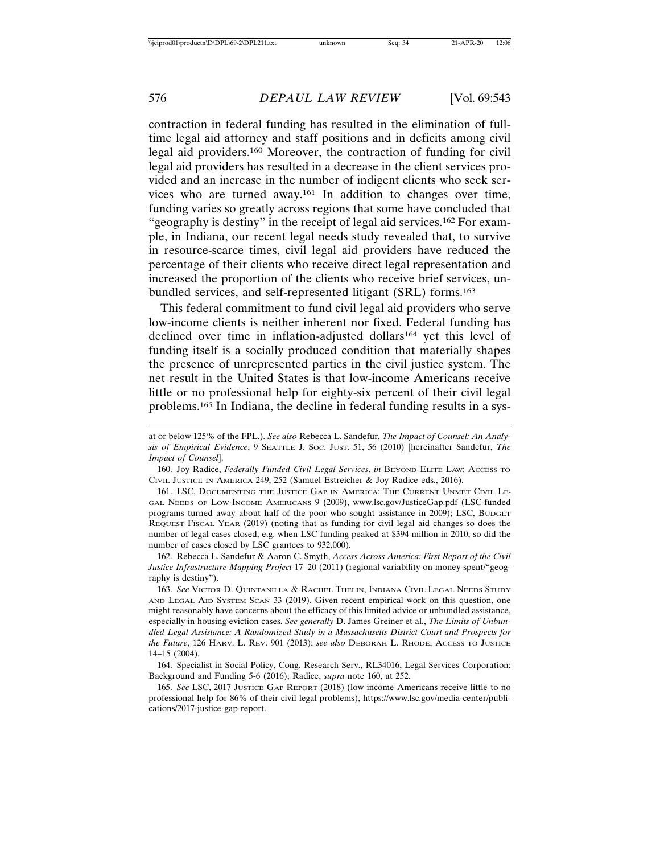contraction in federal funding has resulted in the elimination of fulltime legal aid attorney and staff positions and in deficits among civil legal aid providers.160 Moreover, the contraction of funding for civil legal aid providers has resulted in a decrease in the client services provided and an increase in the number of indigent clients who seek services who are turned away.161 In addition to changes over time, funding varies so greatly across regions that some have concluded that "geography is destiny" in the receipt of legal aid services.162 For example, in Indiana, our recent legal needs study revealed that, to survive in resource-scarce times, civil legal aid providers have reduced the percentage of their clients who receive direct legal representation and increased the proportion of the clients who receive brief services, unbundled services, and self-represented litigant (SRL) forms.163

This federal commitment to fund civil legal aid providers who serve low-income clients is neither inherent nor fixed. Federal funding has declined over time in inflation-adjusted dollars<sup>164</sup> yet this level of funding itself is a socially produced condition that materially shapes the presence of unrepresented parties in the civil justice system. The net result in the United States is that low-income Americans receive little or no professional help for eighty-six percent of their civil legal problems.165 In Indiana, the decline in federal funding results in a sys-

162. Rebecca L. Sandefur & Aaron C. Smyth, *Access Across America: First Report of the Civil Justice Infrastructure Mapping Project* 17–20 (2011) (regional variability on money spent/"geography is destiny").

163. *See* VICTOR D. QUINTANILLA & RACHEL THELIN, INDIANA CIVIL LEGAL NEEDS STUDY AND LEGAL AID SYSTEM SCAN 33 (2019). Given recent empirical work on this question, one might reasonably have concerns about the efficacy of this limited advice or unbundled assistance, especially in housing eviction cases. *See generally* D. James Greiner et al., *The Limits of Unbundled Legal Assistance: A Randomized Study in a Massachusetts District Court and Prospects for the Future*, 126 HARV. L. REV. 901 (2013); *see also* DEBORAH L. RHODE, ACCESS TO JUSTICE 14–15 (2004).

164. Specialist in Social Policy, Cong. Research Serv., RL34016, Legal Services Corporation: Background and Funding 5-6 (2016); Radice, *supra* note 160, at 252.

165. *See* LSC, 2017 JUSTICE GAP REPORT (2018) (low-income Americans receive little to no professional help for 86% of their civil legal problems), https://www.lsc.gov/media-center/publications/2017-justice-gap-report.

at or below 125% of the FPL.). *See also* Rebecca L. Sandefur, *The Impact of Counsel: An Analysis of Empirical Evidence*, 9 SEATTLE J. SOC. JUST. 51, 56 (2010) [hereinafter Sandefur, *The Impact of Counsel*].

<sup>160.</sup> Joy Radice, *Federally Funded Civil Legal Services*, *in* BEYOND ELITE LAW: ACCESS TO CIVIL JUSTICE IN AMERICA 249, 252 (Samuel Estreicher & Joy Radice eds., 2016).

<sup>161.</sup> LSC, DOCUMENTING THE JUSTICE GAP IN AMERICA: THE CURRENT UNMET CIVIL LE-GAL NEEDS OF LOW-INCOME AMERICANS 9 (2009), www.lsc.gov/JusticeGap.pdf (LSC-funded programs turned away about half of the poor who sought assistance in 2009); LSC, BUDGET REQUEST FISCAL YEAR (2019) (noting that as funding for civil legal aid changes so does the number of legal cases closed, e.g. when LSC funding peaked at \$394 million in 2010, so did the number of cases closed by LSC grantees to 932,000).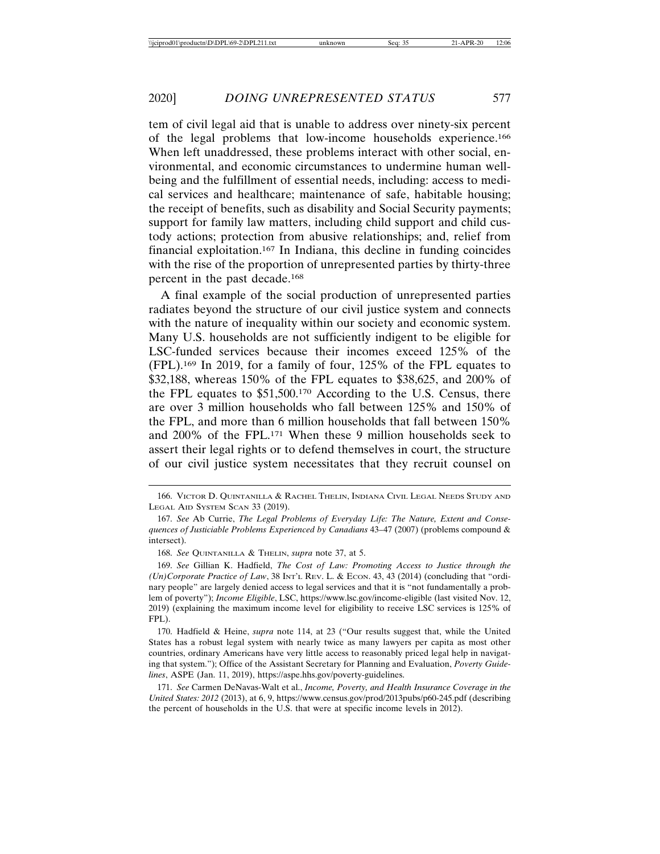tem of civil legal aid that is unable to address over ninety-six percent of the legal problems that low-income households experience.166 When left unaddressed, these problems interact with other social, environmental, and economic circumstances to undermine human wellbeing and the fulfillment of essential needs, including: access to medical services and healthcare; maintenance of safe, habitable housing; the receipt of benefits, such as disability and Social Security payments; support for family law matters, including child support and child custody actions; protection from abusive relationships; and, relief from financial exploitation.167 In Indiana, this decline in funding coincides with the rise of the proportion of unrepresented parties by thirty-three percent in the past decade.168

A final example of the social production of unrepresented parties radiates beyond the structure of our civil justice system and connects with the nature of inequality within our society and economic system. Many U.S. households are not sufficiently indigent to be eligible for LSC-funded services because their incomes exceed 125% of the (FPL).169 In 2019, for a family of four, 125% of the FPL equates to \$32,188, whereas 150% of the FPL equates to \$38,625, and 200% of the FPL equates to \$51,500.170 According to the U.S. Census, there are over 3 million households who fall between 125% and 150% of the FPL, and more than 6 million households that fall between 150% and 200% of the FPL.171 When these 9 million households seek to assert their legal rights or to defend themselves in court, the structure of our civil justice system necessitates that they recruit counsel on

<sup>166.</sup> VICTOR D. QUINTANILLA & RACHEL THELIN, INDIANA CIVIL LEGAL NEEDS STUDY AND LEGAL AID SYSTEM SCAN 33 (2019).

<sup>167.</sup> *See* Ab Currie, *The Legal Problems of Everyday Life: The Nature, Extent and Consequences of Justiciable Problems Experienced by Canadians* 43–47 (2007) (problems compound & intersect).

<sup>168.</sup> *See* QUINTANILLA & THELIN, *supra* note 37, at 5.

<sup>169.</sup> *See* Gillian K. Hadfield, *The Cost of Law: Promoting Access to Justice through the (Un)Corporate Practice of Law*, 38 INT'L REV. L. & ECON. 43, 43 (2014) (concluding that "ordinary people" are largely denied access to legal services and that it is "not fundamentally a problem of poverty"); *Income Eligible*, LSC, https://www.lsc.gov/income-eligible (last visited Nov. 12, 2019) (explaining the maximum income level for eligibility to receive LSC services is 125% of FPL).

<sup>170.</sup> Hadfield & Heine, *supra* note 114, at 23 ("Our results suggest that, while the United States has a robust legal system with nearly twice as many lawyers per capita as most other countries, ordinary Americans have very little access to reasonably priced legal help in navigating that system."); Office of the Assistant Secretary for Planning and Evaluation, *Poverty Guidelines*, ASPE (Jan. 11, 2019), https://aspe.hhs.gov/poverty-guidelines.

<sup>171.</sup> *See* Carmen DeNavas-Walt et al., *Income, Poverty, and Health Insurance Coverage in the United States: 2012* (2013), at 6, 9, https://www.census.gov/prod/2013pubs/p60-245.pdf (describing the percent of households in the U.S. that were at specific income levels in 2012).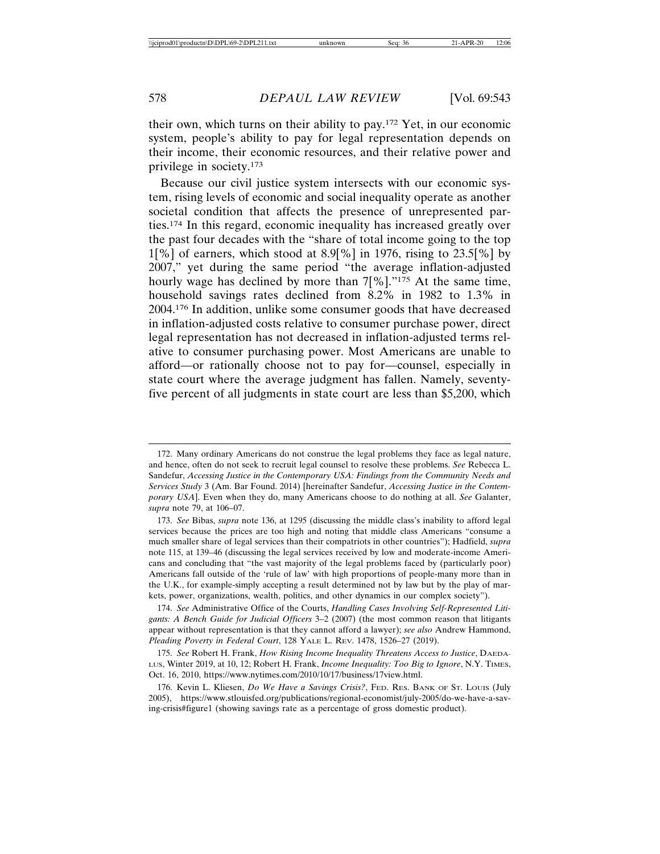their own, which turns on their ability to pay.172 Yet, in our economic system, people's ability to pay for legal representation depends on their income, their economic resources, and their relative power and privilege in society.173

Because our civil justice system intersects with our economic system, rising levels of economic and social inequality operate as another societal condition that affects the presence of unrepresented parties.174 In this regard, economic inequality has increased greatly over the past four decades with the "share of total income going to the top  $1\frac{8}{1}\%$  of earners, which stood at 8.9<sup>[%]</sup> in 1976, rising to 23.5<sup>[%]</sup> by 2007," yet during the same period "the average inflation-adjusted hourly wage has declined by more than 7[%]."<sup>175</sup> At the same time, household savings rates declined from 8.2% in 1982 to 1.3% in 2004.176 In addition, unlike some consumer goods that have decreased in inflation-adjusted costs relative to consumer purchase power, direct legal representation has not decreased in inflation-adjusted terms relative to consumer purchasing power. Most Americans are unable to afford—or rationally choose not to pay for—counsel, especially in state court where the average judgment has fallen. Namely, seventyfive percent of all judgments in state court are less than \$5,200, which

<sup>172.</sup> Many ordinary Americans do not construe the legal problems they face as legal nature, and hence, often do not seek to recruit legal counsel to resolve these problems. *See* Rebecca L. Sandefur, *Accessing Justice in the Contemporary USA: Findings from the Community Needs and Services Study* 3 (Am. Bar Found. 2014) [hereinafter Sandefur, *Accessing Justice in the Contemporary USA*]. Even when they do, many Americans choose to do nothing at all. *See* Galanter, *supra* note 79, at 106–07.

<sup>173.</sup> *See* Bibas, *supra* note 136, at 1295 (discussing the middle class's inability to afford legal services because the prices are too high and noting that middle class Americans "consume a much smaller share of legal services than their compatriots in other countries"); Hadfield, *supra* note 115, at 139–46 (discussing the legal services received by low and moderate-income Americans and concluding that "the vast majority of the legal problems faced by (particularly poor) Americans fall outside of the 'rule of law' with high proportions of people-many more than in the U.K., for example-simply accepting a result determined not by law but by the play of markets, power, organizations, wealth, politics, and other dynamics in our complex society").

<sup>174.</sup> *See* Administrative Office of the Courts, *Handling Cases Involving Self-Represented Litigants: A Bench Guide for Judicial Officers* 3–2 (2007) (the most common reason that litigants appear without representation is that they cannot afford a lawyer); *see also* Andrew Hammond, *Pleading Poverty in Federal Court*, 128 YALE L. REV. 1478, 1526–27 (2019).

<sup>175.</sup> *See* Robert H. Frank, *How Rising Income Inequality Threatens Access to Justice*, DAEDA-LUS, Winter 2019, at 10, 12; Robert H. Frank, *Income Inequality: Too Big to Ignore*, N.Y. TIMES, Oct. 16, 2010, https://www.nytimes.com/2010/10/17/business/17view.html.

<sup>176.</sup> Kevin L. Kliesen, *Do We Have a Savings Crisis?*, FED. RES. BANK OF ST. LOUIS (July 2005), https://www.stlouisfed.org/publications/regional-economist/july-2005/do-we-have-a-saving-crisis#figure1 (showing savings rate as a percentage of gross domestic product).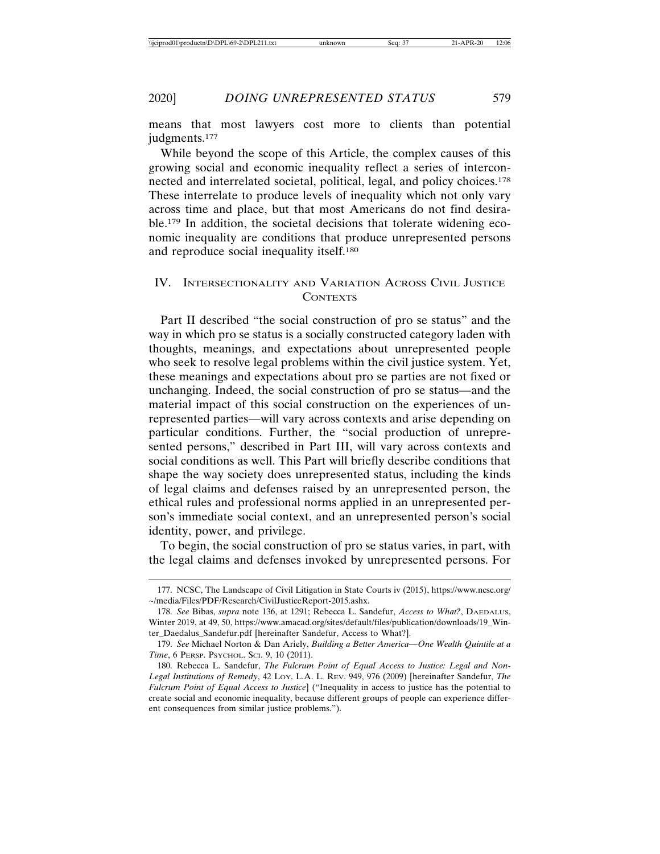2020] *DOING UNREPRESENTED STATUS* 579

means that most lawyers cost more to clients than potential judgments.<sup>177</sup>

While beyond the scope of this Article, the complex causes of this growing social and economic inequality reflect a series of interconnected and interrelated societal, political, legal, and policy choices.178 These interrelate to produce levels of inequality which not only vary across time and place, but that most Americans do not find desirable.179 In addition, the societal decisions that tolerate widening economic inequality are conditions that produce unrepresented persons and reproduce social inequality itself.180

# IV. INTERSECTIONALITY AND VARIATION ACROSS CIVIL JUSTICE **CONTEXTS**

Part II described "the social construction of pro se status" and the way in which pro se status is a socially constructed category laden with thoughts, meanings, and expectations about unrepresented people who seek to resolve legal problems within the civil justice system. Yet, these meanings and expectations about pro se parties are not fixed or unchanging. Indeed, the social construction of pro se status—and the material impact of this social construction on the experiences of unrepresented parties—will vary across contexts and arise depending on particular conditions. Further, the "social production of unrepresented persons," described in Part III, will vary across contexts and social conditions as well. This Part will briefly describe conditions that shape the way society does unrepresented status, including the kinds of legal claims and defenses raised by an unrepresented person, the ethical rules and professional norms applied in an unrepresented person's immediate social context, and an unrepresented person's social identity, power, and privilege.

To begin, the social construction of pro se status varies, in part, with the legal claims and defenses invoked by unrepresented persons. For

<sup>177.</sup> NCSC, The Landscape of Civil Litigation in State Courts iv (2015), https://www.ncsc.org/ ~/media/Files/PDF/Research/CivilJusticeReport-2015.ashx.

<sup>178.</sup> *See* Bibas, *supra* note 136, at 1291; Rebecca L. Sandefur, *Access to What?*, DAEDALUS, Winter 2019, at 49, 50, https://www.amacad.org/sites/default/files/publication/downloads/19\_Winter\_Daedalus\_Sandefur.pdf [hereinafter Sandefur, Access to What?].

<sup>179.</sup> *See* Michael Norton & Dan Ariely, *Building a Better America—One Wealth Quintile at a Time*, 6 PERSP. PSYCHOL. SCI. 9, 10 (2011).

<sup>180.</sup> Rebecca L. Sandefur, *The Fulcrum Point of Equal Access to Justice: Legal and Non-Legal Institutions of Remedy*, 42 LOY. L.A. L. REV. 949, 976 (2009) [hereinafter Sandefur, *The Fulcrum Point of Equal Access to Justice*] ("Inequality in access to justice has the potential to create social and economic inequality, because different groups of people can experience different consequences from similar justice problems.").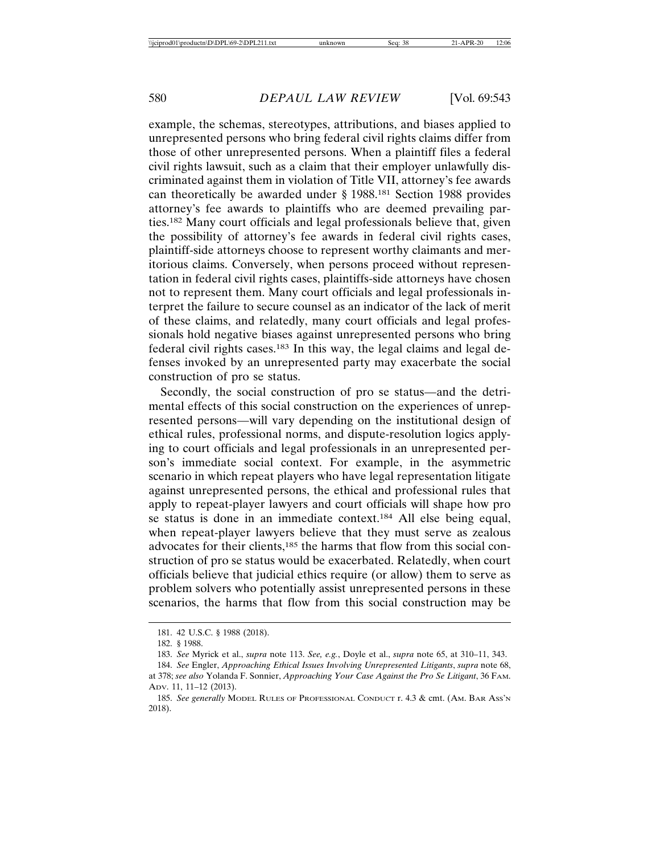example, the schemas, stereotypes, attributions, and biases applied to unrepresented persons who bring federal civil rights claims differ from those of other unrepresented persons. When a plaintiff files a federal civil rights lawsuit, such as a claim that their employer unlawfully discriminated against them in violation of Title VII, attorney's fee awards can theoretically be awarded under § 1988.181 Section 1988 provides attorney's fee awards to plaintiffs who are deemed prevailing parties.182 Many court officials and legal professionals believe that, given the possibility of attorney's fee awards in federal civil rights cases, plaintiff-side attorneys choose to represent worthy claimants and meritorious claims. Conversely, when persons proceed without representation in federal civil rights cases, plaintiffs-side attorneys have chosen not to represent them. Many court officials and legal professionals interpret the failure to secure counsel as an indicator of the lack of merit of these claims, and relatedly, many court officials and legal professionals hold negative biases against unrepresented persons who bring federal civil rights cases.183 In this way, the legal claims and legal defenses invoked by an unrepresented party may exacerbate the social construction of pro se status.

Secondly, the social construction of pro se status—and the detrimental effects of this social construction on the experiences of unrepresented persons—will vary depending on the institutional design of ethical rules, professional norms, and dispute-resolution logics applying to court officials and legal professionals in an unrepresented person's immediate social context. For example, in the asymmetric scenario in which repeat players who have legal representation litigate against unrepresented persons, the ethical and professional rules that apply to repeat-player lawyers and court officials will shape how pro se status is done in an immediate context.184 All else being equal, when repeat-player lawyers believe that they must serve as zealous advocates for their clients,185 the harms that flow from this social construction of pro se status would be exacerbated. Relatedly, when court officials believe that judicial ethics require (or allow) them to serve as problem solvers who potentially assist unrepresented persons in these scenarios, the harms that flow from this social construction may be

<sup>181. 42</sup> U.S.C. § 1988 (2018).

<sup>182. § 1988.</sup>

<sup>183.</sup> *See* Myrick et al., *supra* note 113. *See, e.g.*, Doyle et al., *supra* note 65, at 310–11, 343.

<sup>184.</sup> *See* Engler, *Approaching Ethical Issues Involving Unrepresented Litigants*, *supra* note 68, at 378; *see also* Yolanda F. Sonnier, *Approaching Your Case Against the Pro Se Litigant*, 36 FAM. ADV. 11, 11–12 (2013).

<sup>185.</sup> *See generally* MODEL RULES OF PROFESSIONAL CONDUCT r. 4.3 & cmt. (AM. BAR ASS'N 2018).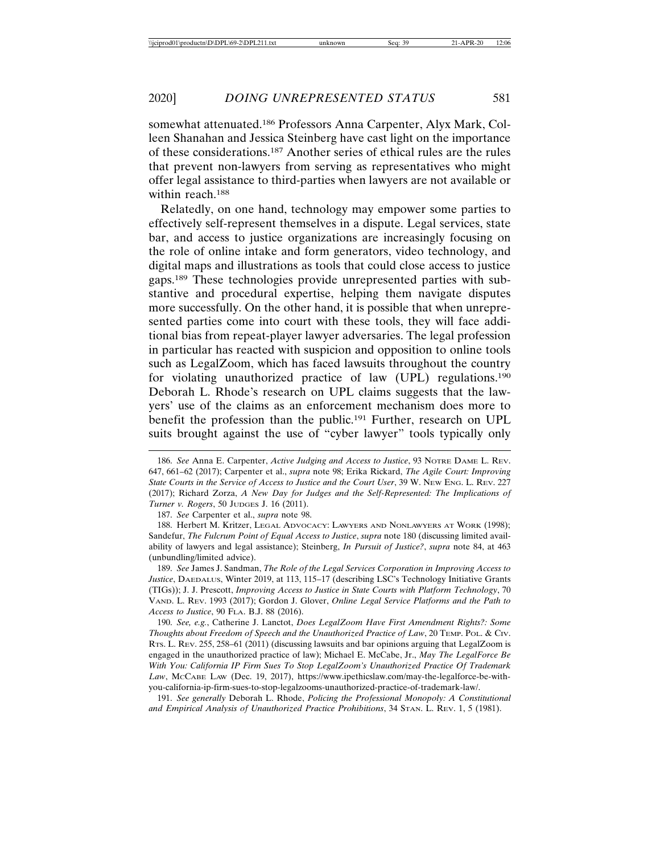somewhat attenuated.186 Professors Anna Carpenter, Alyx Mark, Colleen Shanahan and Jessica Steinberg have cast light on the importance of these considerations.187 Another series of ethical rules are the rules that prevent non-lawyers from serving as representatives who might offer legal assistance to third-parties when lawyers are not available or within reach.188

Relatedly, on one hand, technology may empower some parties to effectively self-represent themselves in a dispute. Legal services, state bar, and access to justice organizations are increasingly focusing on the role of online intake and form generators, video technology, and digital maps and illustrations as tools that could close access to justice gaps.189 These technologies provide unrepresented parties with substantive and procedural expertise, helping them navigate disputes more successfully. On the other hand, it is possible that when unrepresented parties come into court with these tools, they will face additional bias from repeat-player lawyer adversaries. The legal profession in particular has reacted with suspicion and opposition to online tools such as LegalZoom, which has faced lawsuits throughout the country for violating unauthorized practice of law (UPL) regulations.190 Deborah L. Rhode's research on UPL claims suggests that the lawyers' use of the claims as an enforcement mechanism does more to benefit the profession than the public.<sup>191</sup> Further, research on UPL suits brought against the use of "cyber lawyer" tools typically only

189. *See* James J. Sandman, *The Role of the Legal Services Corporation in Improving Access to Justice*, DAEDALUS, Winter 2019, at 113, 115–17 (describing LSC's Technology Initiative Grants (TIGs)); J. J. Prescott, *Improving Access to Justice in State Courts with Platform Technology*, 70 VAND. L. REV. 1993 (2017); Gordon J. Glover, *Online Legal Service Platforms and the Path to Access to Justice*, 90 FLA. B.J. 88 (2016).

190. *See, e.g.*, Catherine J. Lanctot, *Does LegalZoom Have First Amendment Rights?: Some Thoughts about Freedom of Speech and the Unauthorized Practice of Law*, 20 TEMP. POL. & CIV. RTS. L. REV. 255, 258–61 (2011) (discussing lawsuits and bar opinions arguing that LegalZoom is engaged in the unauthorized practice of law); Michael E. McCabe, Jr., *May The LegalForce Be With You: California IP Firm Sues To Stop LegalZoom's Unauthorized Practice Of Trademark Law*, MCCABE LAW (Dec. 19, 2017), https://www.ipethicslaw.com/may-the-legalforce-be-withyou-california-ip-firm-sues-to-stop-legalzooms-unauthorized-practice-of-trademark-law/.

191. *See generally* Deborah L. Rhode, *Policing the Professional Monopoly: A Constitutional and Empirical Analysis of Unauthorized Practice Prohibitions*, 34 STAN. L. REV. 1, 5 (1981).

<sup>186.</sup> *See* Anna E. Carpenter, *Active Judging and Access to Justice*, 93 NOTRE DAME L. REV. 647, 661–62 (2017); Carpenter et al., *supra* note 98; Erika Rickard, *The Agile Court: Improving State Courts in the Service of Access to Justice and the Court User*, 39 W. NEW ENG. L. REV. 227 (2017); Richard Zorza, *A New Day for Judges and the Self-Represented: The Implications of Turner v. Rogers*, 50 JUDGES J. 16 (2011).

<sup>187.</sup> *See* Carpenter et al., *supra* note 98.

<sup>188.</sup> Herbert M. Kritzer, LEGAL ADVOCACY: LAWYERS AND NONLAWYERS AT WORK (1998); Sandefur, *The Fulcrum Point of Equal Access to Justice*, *supra* note 180 (discussing limited availability of lawyers and legal assistance); Steinberg, *In Pursuit of Justice?*, *supra* note 84, at 463 (unbundling/limited advice).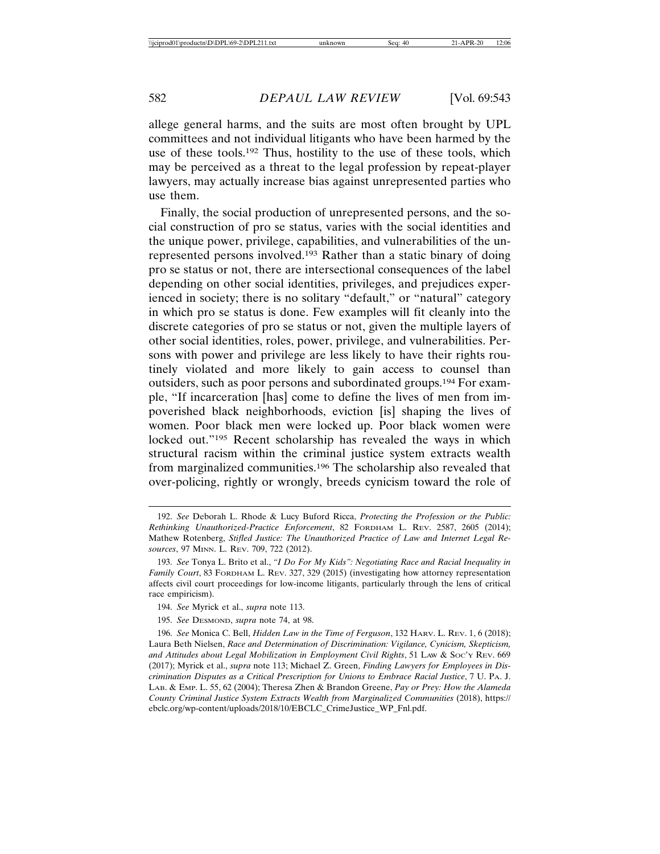allege general harms, and the suits are most often brought by UPL committees and not individual litigants who have been harmed by the use of these tools.192 Thus, hostility to the use of these tools, which may be perceived as a threat to the legal profession by repeat-player lawyers, may actually increase bias against unrepresented parties who use them.

Finally, the social production of unrepresented persons, and the social construction of pro se status, varies with the social identities and the unique power, privilege, capabilities, and vulnerabilities of the unrepresented persons involved.193 Rather than a static binary of doing pro se status or not, there are intersectional consequences of the label depending on other social identities, privileges, and prejudices experienced in society; there is no solitary "default," or "natural" category in which pro se status is done. Few examples will fit cleanly into the discrete categories of pro se status or not, given the multiple layers of other social identities, roles, power, privilege, and vulnerabilities. Persons with power and privilege are less likely to have their rights routinely violated and more likely to gain access to counsel than outsiders, such as poor persons and subordinated groups.194 For example, "If incarceration [has] come to define the lives of men from impoverished black neighborhoods, eviction [is] shaping the lives of women. Poor black men were locked up. Poor black women were locked out."<sup>195</sup> Recent scholarship has revealed the ways in which structural racism within the criminal justice system extracts wealth from marginalized communities.196 The scholarship also revealed that over-policing, rightly or wrongly, breeds cynicism toward the role of

<sup>192.</sup> *See* Deborah L. Rhode & Lucy Buford Ricca, *Protecting the Profession or the Public: Rethinking Unauthorized-Practice Enforcement*, 82 FORDHAM L. REV. 2587, 2605 (2014); Mathew Rotenberg, *Stifled Justice: The Unauthorized Practice of Law and Internet Legal Resources*, 97 MINN. L. REV. 709, 722 (2012).

<sup>193.</sup> *See* Tonya L. Brito et al., *"I Do For My Kids": Negotiating Race and Racial Inequality in Family Court*, 83 FORDHAM L. REV. 327, 329 (2015) (investigating how attorney representation affects civil court proceedings for low-income litigants, particularly through the lens of critical race empiricism).

<sup>194.</sup> *See* Myrick et al., *supra* note 113.

<sup>195.</sup> *See* DESMOND, *supra* note 74, at 98.

<sup>196.</sup> *See* Monica C. Bell, *Hidden Law in the Time of Ferguson*, 132 HARV. L. REV. 1, 6 (2018); Laura Beth Nielsen, *Race and Determination of Discrimination: Vigilance, Cynicism, Skepticism, and Attitudes about Legal Mobilization in Employment Civil Rights*, 51 LAW & SOC'Y REV. 669 (2017); Myrick et al., *supra* note 113; Michael Z. Green, *Finding Lawyers for Employees in Discrimination Disputes as a Critical Prescription for Unions to Embrace Racial Justice*, 7 U. PA. J. LAB. & EMP. L. 55, 62 (2004); Theresa Zhen & Brandon Greene, *Pay or Prey: How the Alameda County Criminal Justice System Extracts Wealth from Marginalized Communities* (2018), https:// ebclc.org/wp-content/uploads/2018/10/EBCLC\_CrimeJustice\_WP\_Fnl.pdf.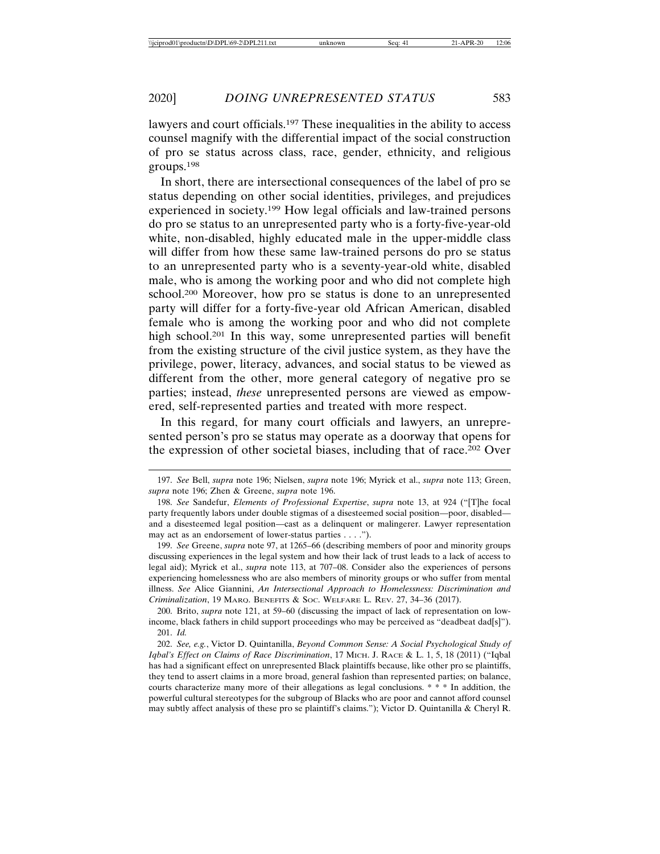lawyers and court officials.<sup>197</sup> These inequalities in the ability to access counsel magnify with the differential impact of the social construction of pro se status across class, race, gender, ethnicity, and religious groups.198

In short, there are intersectional consequences of the label of pro se status depending on other social identities, privileges, and prejudices experienced in society.199 How legal officials and law-trained persons do pro se status to an unrepresented party who is a forty-five-year-old white, non-disabled, highly educated male in the upper-middle class will differ from how these same law-trained persons do pro se status to an unrepresented party who is a seventy-year-old white, disabled male, who is among the working poor and who did not complete high school.200 Moreover, how pro se status is done to an unrepresented party will differ for a forty-five-year old African American, disabled female who is among the working poor and who did not complete high school.201 In this way, some unrepresented parties will benefit from the existing structure of the civil justice system, as they have the privilege, power, literacy, advances, and social status to be viewed as different from the other, more general category of negative pro se parties; instead, *these* unrepresented persons are viewed as empowered, self-represented parties and treated with more respect.

In this regard, for many court officials and lawyers, an unrepresented person's pro se status may operate as a doorway that opens for the expression of other societal biases, including that of race.202 Over

200. Brito, *supra* note 121, at 59–60 (discussing the impact of lack of representation on lowincome, black fathers in child support proceedings who may be perceived as "deadbeat dad[s]"). 201. *Id.*

<sup>197.</sup> *See* Bell, *supra* note 196; Nielsen, *supra* note 196; Myrick et al., *supra* note 113; Green, *supra* note 196; Zhen & Greene, *supra* note 196.

<sup>198.</sup> *See* Sandefur, *Elements of Professional Expertise*, *supra* note 13, at 924 ("[T]he focal party frequently labors under double stigmas of a disesteemed social position—poor, disabled and a disesteemed legal position—cast as a delinquent or malingerer. Lawyer representation may act as an endorsement of lower-status parties . . . .").

<sup>199.</sup> *See* Greene, *supra* note 97, at 1265–66 (describing members of poor and minority groups discussing experiences in the legal system and how their lack of trust leads to a lack of access to legal aid); Myrick et al., *supra* note 113, at 707–08. Consider also the experiences of persons experiencing homelessness who are also members of minority groups or who suffer from mental illness. *See* Alice Giannini, *An Intersectional Approach to Homelessness: Discrimination and Criminalization*, 19 MARQ. BENEFITS & SOC. WELFARE L. REV. 27, 34–36 (2017).

<sup>202.</sup> *See, e.g.*, Victor D. Quintanilla, *Beyond Common Sense: A Social Psychological Study of Iqbal's Effect on Claims of Race Discrimination*, 17 MICH. J. RACE & L. 1, 5, 18 (2011) ("Iqbal has had a significant effect on unrepresented Black plaintiffs because, like other pro se plaintiffs, they tend to assert claims in a more broad, general fashion than represented parties; on balance, courts characterize many more of their allegations as legal conclusions. \* \* \* In addition, the powerful cultural stereotypes for the subgroup of Blacks who are poor and cannot afford counsel may subtly affect analysis of these pro se plaintiff's claims."); Victor D. Quintanilla & Cheryl R.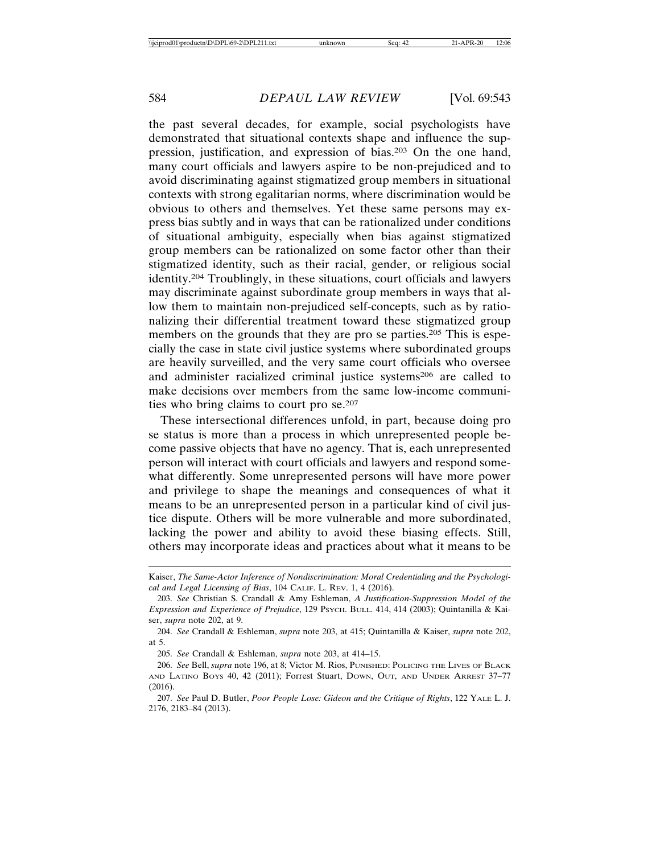the past several decades, for example, social psychologists have demonstrated that situational contexts shape and influence the suppression, justification, and expression of bias.203 On the one hand, many court officials and lawyers aspire to be non-prejudiced and to avoid discriminating against stigmatized group members in situational contexts with strong egalitarian norms, where discrimination would be obvious to others and themselves. Yet these same persons may express bias subtly and in ways that can be rationalized under conditions of situational ambiguity, especially when bias against stigmatized group members can be rationalized on some factor other than their stigmatized identity, such as their racial, gender, or religious social identity.204 Troublingly, in these situations, court officials and lawyers may discriminate against subordinate group members in ways that allow them to maintain non-prejudiced self-concepts, such as by rationalizing their differential treatment toward these stigmatized group members on the grounds that they are pro se parties.<sup>205</sup> This is especially the case in state civil justice systems where subordinated groups are heavily surveilled, and the very same court officials who oversee and administer racialized criminal justice systems<sup>206</sup> are called to make decisions over members from the same low-income communities who bring claims to court pro se.207

These intersectional differences unfold, in part, because doing pro se status is more than a process in which unrepresented people become passive objects that have no agency. That is, each unrepresented person will interact with court officials and lawyers and respond somewhat differently. Some unrepresented persons will have more power and privilege to shape the meanings and consequences of what it means to be an unrepresented person in a particular kind of civil justice dispute. Others will be more vulnerable and more subordinated, lacking the power and ability to avoid these biasing effects. Still, others may incorporate ideas and practices about what it means to be

Kaiser, *The Same-Actor Inference of Nondiscrimination: Moral Credentialing and the Psychological and Legal Licensing of Bias*, 104 CALIF. L. REV. 1, 4 (2016).

<sup>203.</sup> *See* Christian S. Crandall & Amy Eshleman, *A Justification-Suppression Model of the Expression and Experience of Prejudice*, 129 PSYCH. BULL. 414, 414 (2003); Quintanilla & Kaiser, *supra* note 202, at 9.

<sup>204.</sup> *See* Crandall & Eshleman, *supra* note 203, at 415; Quintanilla & Kaiser, *supra* note 202, at 5.

<sup>205.</sup> *See* Crandall & Eshleman, *supra* note 203, at 414–15.

<sup>206.</sup> *See* Bell, *supra* note 196, at 8; Victor M. Rios, PUNISHED: POLICING THE LIVES OF BLACK AND LATINO BOYS 40, 42 (2011); Forrest Stuart, DOWN, OUT, AND UNDER ARREST 37–77 (2016).

<sup>207.</sup> *See* Paul D. Butler, *Poor People Lose: Gideon and the Critique of Rights*, 122 YALE L. J. 2176, 2183–84 (2013).